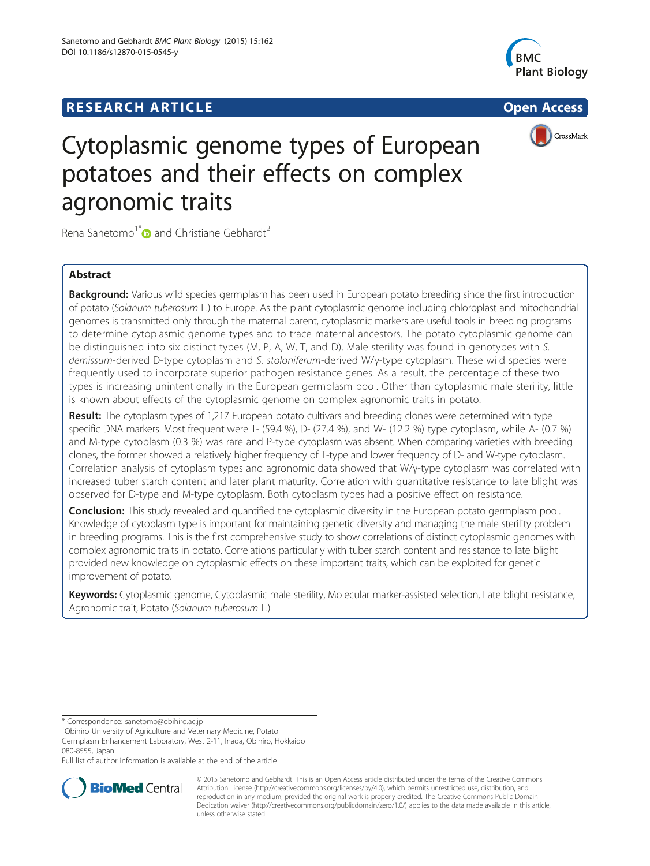# **RESEARCH ARTICLE Example Access 2014 The SEAR CHIPS AND THE Open Access**





# Cytoplasmic genome types of European potatoes and their effects on complex agronomic traits

Rena Sanetomo<sup>1\*</sup> and Christiane Gebhardt<sup>2</sup>

# Abstract

Background: Various wild species germplasm has been used in European potato breeding since the first introduction of potato (Solanum tuberosum L.) to Europe. As the plant cytoplasmic genome including chloroplast and mitochondrial genomes is transmitted only through the maternal parent, cytoplasmic markers are useful tools in breeding programs to determine cytoplasmic genome types and to trace maternal ancestors. The potato cytoplasmic genome can be distinguished into six distinct types (M, P, A, W, T, and D). Male sterility was found in genotypes with S. demissum-derived D-type cytoplasm and S. stoloniferum-derived W/γ-type cytoplasm. These wild species were frequently used to incorporate superior pathogen resistance genes. As a result, the percentage of these two types is increasing unintentionally in the European germplasm pool. Other than cytoplasmic male sterility, little is known about effects of the cytoplasmic genome on complex agronomic traits in potato.

Result: The cytoplasm types of 1,217 European potato cultivars and breeding clones were determined with type specific DNA markers. Most frequent were T- (59.4 %), D- (27.4 %), and W- (12.2 %) type cytoplasm, while A- (0.7 %) and M-type cytoplasm (0.3 %) was rare and P-type cytoplasm was absent. When comparing varieties with breeding clones, the former showed a relatively higher frequency of T-type and lower frequency of D- and W-type cytoplasm. Correlation analysis of cytoplasm types and agronomic data showed that W/γ-type cytoplasm was correlated with increased tuber starch content and later plant maturity. Correlation with quantitative resistance to late blight was observed for D-type and M-type cytoplasm. Both cytoplasm types had a positive effect on resistance.

**Conclusion:** This study revealed and quantified the cytoplasmic diversity in the European potato germplasm pool. Knowledge of cytoplasm type is important for maintaining genetic diversity and managing the male sterility problem in breeding programs. This is the first comprehensive study to show correlations of distinct cytoplasmic genomes with complex agronomic traits in potato. Correlations particularly with tuber starch content and resistance to late blight provided new knowledge on cytoplasmic effects on these important traits, which can be exploited for genetic improvement of potato.

Keywords: Cytoplasmic genome, Cytoplasmic male sterility, Molecular marker-assisted selection, Late blight resistance, Agronomic trait, Potato (Solanum tuberosum L.)

\* Correspondence: [sanetomo@obihiro.ac.jp](mailto:sanetomo@obihiro.ac.jp) <sup>1</sup>

Obihiro University of Agriculture and Veterinary Medicine, Potato

Germplasm Enhancement Laboratory, West 2-11, Inada, Obihiro, Hokkaido 080-8555, Japan

Full list of author information is available at the end of the article



© 2015 Sanetomo and Gebhardt. This is an Open Access article distributed under the terms of the Creative Commons Attribution License (<http://creativecommons.org/licenses/by/4.0>), which permits unrestricted use, distribution, and reproduction in any medium, provided the original work is properly credited. The Creative Commons Public Domain Dedication waiver [\(http://creativecommons.org/publicdomain/zero/1.0/](http://creativecommons.org/publicdomain/zero/1.0/)) applies to the data made available in this article, unless otherwise stated.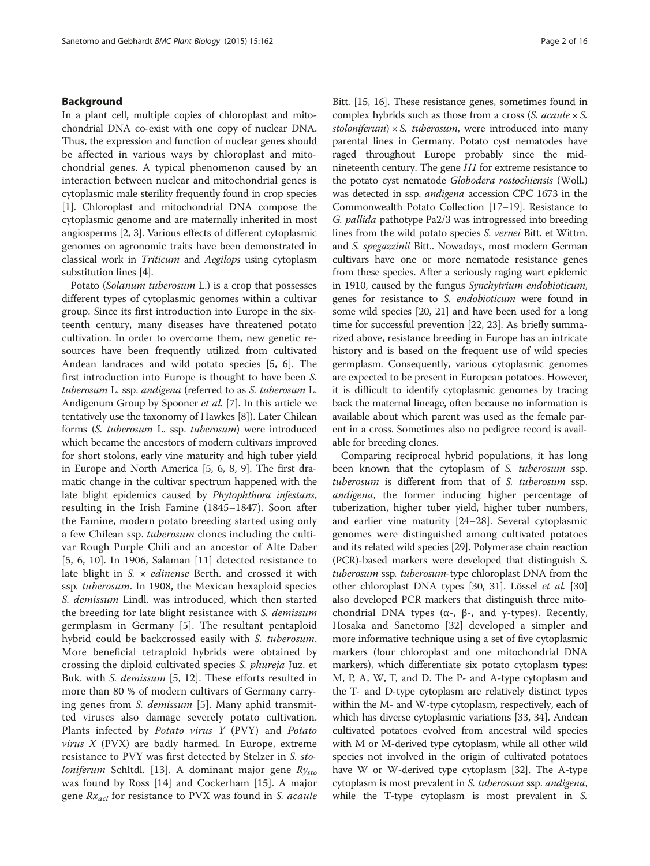#### Background

In a plant cell, multiple copies of chloroplast and mitochondrial DNA co-exist with one copy of nuclear DNA. Thus, the expression and function of nuclear genes should be affected in various ways by chloroplast and mitochondrial genes. A typical phenomenon caused by an interaction between nuclear and mitochondrial genes is cytoplasmic male sterility frequently found in crop species [[1\]](#page-14-0). Chloroplast and mitochondrial DNA compose the cytoplasmic genome and are maternally inherited in most angiosperms [[2](#page-14-0), [3](#page-14-0)]. Various effects of different cytoplasmic genomes on agronomic traits have been demonstrated in classical work in Triticum and Aegilops using cytoplasm substitution lines [[4](#page-14-0)].

Potato (Solanum tuberosum L.) is a crop that possesses different types of cytoplasmic genomes within a cultivar group. Since its first introduction into Europe in the sixteenth century, many diseases have threatened potato cultivation. In order to overcome them, new genetic resources have been frequently utilized from cultivated Andean landraces and wild potato species [\[5, 6](#page-14-0)]. The first introduction into Europe is thought to have been S. tuberosum L. ssp. andigena (referred to as S. tuberosum L. Andigenum Group by Spooner et al. [\[7](#page-14-0)]. In this article we tentatively use the taxonomy of Hawkes [[8\]](#page-14-0)). Later Chilean forms (S. tuberosum L. ssp. tuberosum) were introduced which became the ancestors of modern cultivars improved for short stolons, early vine maturity and high tuber yield in Europe and North America [[5](#page-14-0), [6](#page-14-0), [8](#page-14-0), [9\]](#page-14-0). The first dramatic change in the cultivar spectrum happened with the late blight epidemics caused by Phytophthora infestans, resulting in the Irish Famine (1845–1847). Soon after the Famine, modern potato breeding started using only a few Chilean ssp. tuberosum clones including the cultivar Rough Purple Chili and an ancestor of Alte Daber [[5, 6, 10\]](#page-14-0). In 1906, Salaman [[11\]](#page-14-0) detected resistance to late blight in  $S \times$  *edinense* Berth. and crossed it with ssp. tuberosum. In 1908, the Mexican hexaploid species S. demissum Lindl. was introduced, which then started the breeding for late blight resistance with S. demissum germplasm in Germany [[5\]](#page-14-0). The resultant pentaploid hybrid could be backcrossed easily with S. tuberosum. More beneficial tetraploid hybrids were obtained by crossing the diploid cultivated species S. phureja Juz. et Buk. with S. demissum [\[5](#page-14-0), [12\]](#page-14-0). These efforts resulted in more than 80 % of modern cultivars of Germany carrying genes from S. demissum [\[5](#page-14-0)]. Many aphid transmitted viruses also damage severely potato cultivation. Plants infected by Potato virus Y (PVY) and Potato *virus X* (PVX) are badly harmed. In Europe, extreme resistance to PVY was first detected by Stelzer in S. sto-loniferum Schltdl. [[13](#page-14-0)]. A dominant major gene  $Ry_{sto}$ was found by Ross [\[14](#page-14-0)] and Cockerham [[15\]](#page-14-0). A major gene  $Rx_{acl}$  for resistance to PVX was found in S. acaule Bitt. [[15](#page-14-0), [16](#page-14-0)]. These resistance genes, sometimes found in complex hybrids such as those from a cross  $(S. \, \text{acaule} \times S. \, \text{c} \cdot S)$ stoloniferum)  $\times$  S. tuberosum, were introduced into many parental lines in Germany. Potato cyst nematodes have raged throughout Europe probably since the midnineteenth century. The gene H1 for extreme resistance to the potato cyst nematode Globodera rostochiensis (Woll.) was detected in ssp. andigena accession CPC 1673 in the Commonwealth Potato Collection [[17](#page-14-0)–[19\]](#page-14-0). Resistance to G. pallida pathotype Pa2/3 was introgressed into breeding lines from the wild potato species S. vernei Bitt. et Wittm. and S. spegazzinii Bitt.. Nowadays, most modern German cultivars have one or more nematode resistance genes from these species. After a seriously raging wart epidemic in 1910, caused by the fungus Synchytrium endobioticum, genes for resistance to S. endobioticum were found in some wild species [[20](#page-14-0), [21](#page-14-0)] and have been used for a long time for successful prevention [[22](#page-14-0), [23\]](#page-14-0). As briefly summarized above, resistance breeding in Europe has an intricate history and is based on the frequent use of wild species germplasm. Consequently, various cytoplasmic genomes are expected to be present in European potatoes. However, it is difficult to identify cytoplasmic genomes by tracing back the maternal lineage, often because no information is available about which parent was used as the female parent in a cross. Sometimes also no pedigree record is available for breeding clones.

Comparing reciprocal hybrid populations, it has long been known that the cytoplasm of S. tuberosum ssp. tuberosum is different from that of S. tuberosum ssp. andigena, the former inducing higher percentage of tuberization, higher tuber yield, higher tuber numbers, and earlier vine maturity [\[24](#page-14-0)–[28](#page-14-0)]. Several cytoplasmic genomes were distinguished among cultivated potatoes and its related wild species [[29](#page-14-0)]. Polymerase chain reaction (PCR)-based markers were developed that distinguish S. tuberosum ssp. tuberosum-type chloroplast DNA from the other chloroplast DNA types [[30](#page-14-0), [31](#page-14-0)]. Lössel et al. [[30](#page-14-0)] also developed PCR markers that distinguish three mitochondrial DNA types ( $\alpha$ -,  $\beta$ -, and γ-types). Recently, Hosaka and Sanetomo [\[32](#page-14-0)] developed a simpler and more informative technique using a set of five cytoplasmic markers (four chloroplast and one mitochondrial DNA markers), which differentiate six potato cytoplasm types: M, P, A, W, T, and D. The P- and A-type cytoplasm and the T- and D-type cytoplasm are relatively distinct types within the M- and W-type cytoplasm, respectively, each of which has diverse cytoplasmic variations [[33](#page-14-0), [34](#page-14-0)]. Andean cultivated potatoes evolved from ancestral wild species with M or M-derived type cytoplasm, while all other wild species not involved in the origin of cultivated potatoes have W or W-derived type cytoplasm [[32](#page-14-0)]. The A-type cytoplasm is most prevalent in S. tuberosum ssp. andigena, while the T-type cytoplasm is most prevalent in S.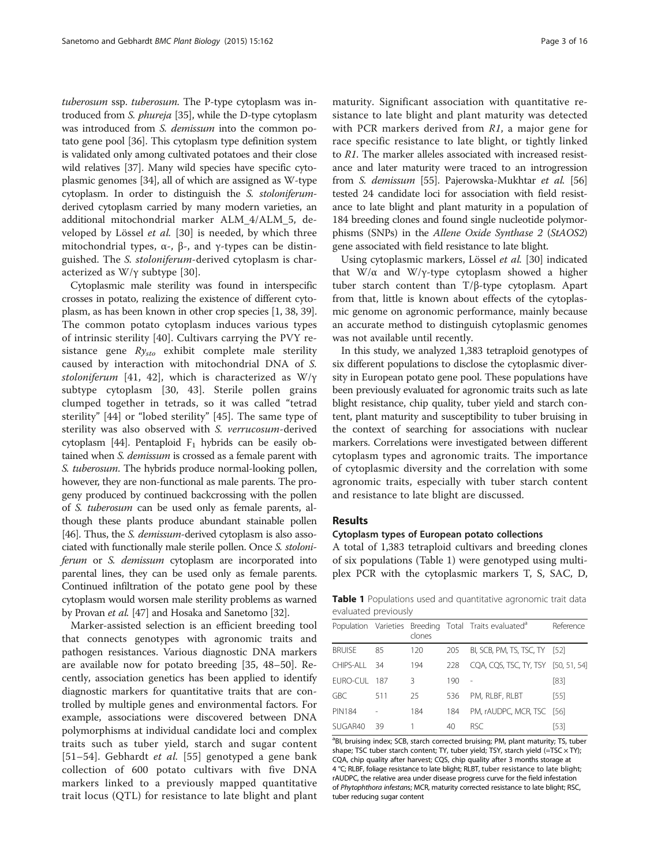<span id="page-2-0"></span>tuberosum ssp. tuberosum. The P-type cytoplasm was introduced from S. phureja [\[35\]](#page-14-0), while the D-type cytoplasm was introduced from *S. demissum* into the common potato gene pool [\[36\]](#page-14-0). This cytoplasm type definition system is validated only among cultivated potatoes and their close wild relatives [[37\]](#page-14-0). Many wild species have specific cytoplasmic genomes [\[34\]](#page-14-0), all of which are assigned as W-type cytoplasm. In order to distinguish the S. stoloniferumderived cytoplasm carried by many modern varieties, an additional mitochondrial marker ALM\_4/ALM\_5, developed by Lössel et al. [\[30](#page-14-0)] is needed, by which three mitochondrial types,  $\alpha$ -,  $\beta$ -, and γ-types can be distinguished. The S. stoloniferum-derived cytoplasm is characterized as W/γ subtype [\[30](#page-14-0)].

Cytoplasmic male sterility was found in interspecific crosses in potato, realizing the existence of different cytoplasm, as has been known in other crop species [[1, 38, 39](#page-14-0)]. The common potato cytoplasm induces various types of intrinsic sterility [\[40](#page-14-0)]. Cultivars carrying the PVY resistance gene  $Ry_{sto}$  exhibit complete male sterility caused by interaction with mitochondrial DNA of S. stoloniferum [[41, 42](#page-14-0)], which is characterized as  $W/\gamma$ subtype cytoplasm [\[30](#page-14-0), [43](#page-14-0)]. Sterile pollen grains clumped together in tetrads, so it was called "tetrad sterility" [\[44](#page-14-0)] or "lobed sterility" [\[45](#page-14-0)]. The same type of sterility was also observed with S. verrucosum-derived cytoplasm [[44](#page-14-0)]. Pentaploid  $F_1$  hybrids can be easily obtained when S. demissum is crossed as a female parent with S. tuberosum. The hybrids produce normal-looking pollen, however, they are non-functional as male parents. The progeny produced by continued backcrossing with the pollen of S. tuberosum can be used only as female parents, although these plants produce abundant stainable pollen [[46](#page-14-0)]. Thus, the S. demissum-derived cytoplasm is also associated with functionally male sterile pollen. Once S. stoloniferum or S. demissum cytoplasm are incorporated into parental lines, they can be used only as female parents. Continued infiltration of the potato gene pool by these cytoplasm would worsen male sterility problems as warned by Provan *et al.* [\[47\]](#page-14-0) and Hosaka and Sanetomo [[32](#page-14-0)].

Marker-assisted selection is an efficient breeding tool that connects genotypes with agronomic traits and pathogen resistances. Various diagnostic DNA markers are available now for potato breeding [[35, 48](#page-14-0)–[50\]](#page-15-0). Recently, association genetics has been applied to identify diagnostic markers for quantitative traits that are controlled by multiple genes and environmental factors. For example, associations were discovered between DNA polymorphisms at individual candidate loci and complex traits such as tuber yield, starch and sugar content  $[51–54]$  $[51–54]$  $[51–54]$  $[51–54]$  $[51–54]$ . Gebhardt *et al.* [\[55](#page-15-0)] genotyped a gene bank collection of 600 potato cultivars with five DNA markers linked to a previously mapped quantitative trait locus (QTL) for resistance to late blight and plant

maturity. Significant association with quantitative resistance to late blight and plant maturity was detected with PCR markers derived from  $R1$ , a major gene for race specific resistance to late blight, or tightly linked to R1. The marker alleles associated with increased resistance and later maturity were traced to an introgression from S. demissum [\[55\]](#page-15-0). Pajerowska-Mukhtar et al. [[56](#page-15-0)] tested 24 candidate loci for association with field resistance to late blight and plant maturity in a population of 184 breeding clones and found single nucleotide polymorphisms (SNPs) in the Allene Oxide Synthase 2 (StAOS2) gene associated with field resistance to late blight.

Using cytoplasmic markers, Lössel et al. [\[30\]](#page-14-0) indicated that W/ $\alpha$  and W/ $\gamma$ -type cytoplasm showed a higher tuber starch content than T/β-type cytoplasm. Apart from that, little is known about effects of the cytoplasmic genome on agronomic performance, mainly because an accurate method to distinguish cytoplasmic genomes was not available until recently.

In this study, we analyzed 1,383 tetraploid genotypes of six different populations to disclose the cytoplasmic diversity in European potato gene pool. These populations have been previously evaluated for agronomic traits such as late blight resistance, chip quality, tuber yield and starch content, plant maturity and susceptibility to tuber bruising in the context of searching for associations with nuclear markers. Correlations were investigated between different cytoplasm types and agronomic traits. The importance of cytoplasmic diversity and the correlation with some agronomic traits, especially with tuber starch content and resistance to late blight are discussed.

## Results

#### Cytoplasm types of European potato collections

A total of 1,383 tetraploid cultivars and breeding clones of six populations (Table 1) were genotyped using multiplex PCR with the cytoplasmic markers T, S, SAC, D,

Table 1 Populations used and quantitative agronomic trait data evaluated previously

|                |     | clones |     | Population Varieties Breeding Total Traits evaluated <sup>a</sup> | Reference |
|----------------|-----|--------|-----|-------------------------------------------------------------------|-----------|
| <b>BRUISE</b>  | 85  | 120    | 205 | BI, SCB, PM, TS, TSC, TY [52]                                     |           |
| $CHIPS-AII$ 34 |     | 194    | 228 | CQA, CQS, TSC, TY, TSY [50, 51, 54]                               |           |
| FURO-CUL 187   |     | Β      | 190 | - -                                                               | [83]      |
| GBC            | 511 | 25     | 536 | PM, RLBF, RLBT                                                    | [55]      |
| <b>PIN184</b>  |     | 184    | 184 | PM, rAUDPC, MCR, TSC [56]                                         |           |
| SUGAR40        | 39  |        | 40  | RSC.                                                              | $[53]$    |

<sup>a</sup>BI, bruising index; SCB, starch corrected bruising; PM, plant maturity; TS, tuber shape; TSC tuber starch content; TY, tuber yield; TSY, starch yield (=TSC × TY); CQA, chip quality after harvest; CQS, chip quality after 3 months storage at 4 °C; RLBF, foliage resistance to late blight; RLBT, tuber resistance to late blight; rAUDPC, the relative area under disease progress curve for the field infestation of Phytophthora infestans; MCR, maturity corrected resistance to late blight; RSC, tuber reducing sugar content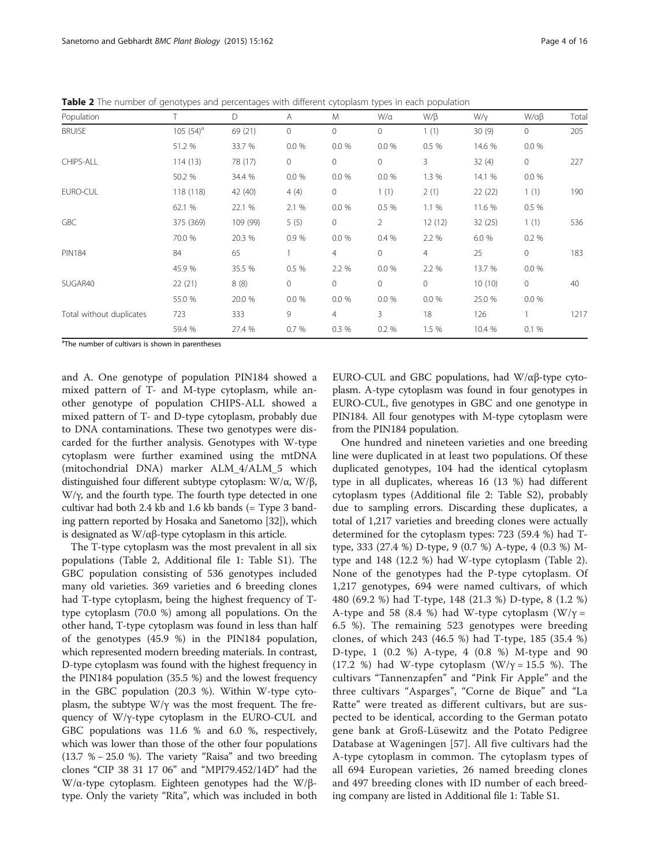| Population               | Τ            | D        | $\overline{A}$ | M                   | $W/\alpha$     | $W/\beta$ | W/γ    | $W/\alpha\beta$ | Total |
|--------------------------|--------------|----------|----------------|---------------------|----------------|-----------|--------|-----------------|-------|
| <b>BRUISE</b>            | 105 $(54)^a$ | 69 (21)  | $\mathbf{0}$   | $\mathbf 0$         | 0              | 1(1)      | 30(9)  | 0               | 205   |
|                          | 51.2 %       | 33.7 %   | 0.0 %          | 0.0%                | 0.0 %          | 0.5 %     | 14.6 % | 0.0 %           |       |
| CHIPS-ALL                | 114(13)      | 78 (17)  | $\mathbf 0$    | 0                   | 0              | 3         | 32(4)  | 0               | 227   |
|                          | 50.2 %       | 34.4 %   | 0.0 %          | 0.0 %               | 0.0 %          | 1.3 %     | 14.1 % | 0.0 %           |       |
| EURO-CUL                 | 118 (118)    | 42 (40)  | 4(4)           | 0                   | 1(1)           | 2(1)      | 22(22) | 1(1)            | 190   |
|                          | 62.1 %       | 22.1 %   | 2.1 %          | 0.0%                | 0.5 %          | 1.1 %     | 11.6 % | 0.5%            |       |
| <b>GBC</b>               | 375 (369)    | 109 (99) | 5(5)           | $\mathsf{O}\xspace$ | $\overline{2}$ | 12(12)    | 32(25) | 1(1)            | 536   |
|                          | 70.0 %       | 20.3 %   | 0.9%           | 0.0%                | 0.4%           | 2.2 %     | 6.0 %  | 0.2%            |       |
| <b>PIN184</b>            | 84           | 65       | 1              | $\overline{4}$      | 0              | 4         | 25     | 0               | 183   |
|                          | 45.9 %       | 35.5 %   | 0.5 %          | 2.2 %               | 0.0 %          | 2.2 %     | 13.7 % | 0.0%            |       |
| SUGAR40                  | 22(21)       | 8(8)     | $\mathbf 0$    | $\circ$             | 0              | $\circ$   | 10(10) | 0               | 40    |
|                          | 55.0 %       | 20.0 %   | 0.0 %          | 0.0%                | 0.0 %          | 0.0 %     | 25.0 % | 0.0%            |       |
| Total without duplicates | 723          | 333      | 9              | $\overline{4}$      | 3              | 18        | 126    |                 | 1217  |
|                          | 59.4 %       | 27.4 %   | 0.7 %          | 0.3 %               | 0.2 %          | 1.5 %     | 10.4 % | 0.1%            |       |

<span id="page-3-0"></span>Table 2 The number of genotypes and percentages with different cytoplasm types in each population

<sup>a</sup>The number of cultivars is shown in parentheses

and A. One genotype of population PIN184 showed a mixed pattern of T- and M-type cytoplasm, while another genotype of population CHIPS-ALL showed a mixed pattern of T- and D-type cytoplasm, probably due to DNA contaminations. These two genotypes were discarded for the further analysis. Genotypes with W-type cytoplasm were further examined using the mtDNA (mitochondrial DNA) marker ALM\_4/ALM\_5 which distinguished four different subtype cytoplasm: W/α, W/β, W/γ, and the fourth type. The fourth type detected in one cultivar had both 2.4 kb and 1.6 kb bands (= Type 3 banding pattern reported by Hosaka and Sanetomo [\[32\]](#page-14-0)), which is designated as W/αβ-type cytoplasm in this article.

The T-type cytoplasm was the most prevalent in all six populations (Table 2, Additional file [1:](#page-13-0) Table S1). The GBC population consisting of 536 genotypes included many old varieties. 369 varieties and 6 breeding clones had T-type cytoplasm, being the highest frequency of Ttype cytoplasm (70.0 %) among all populations. On the other hand, T-type cytoplasm was found in less than half of the genotypes (45.9 %) in the PIN184 population, which represented modern breeding materials. In contrast, D-type cytoplasm was found with the highest frequency in the PIN184 population (35.5 %) and the lowest frequency in the GBC population (20.3 %). Within W-type cytoplasm, the subtype  $W/\gamma$  was the most frequent. The frequency of W/γ-type cytoplasm in the EURO-CUL and GBC populations was 11.6 % and 6.0 %, respectively, which was lower than those of the other four populations (13.7 % − 25.0 %). The variety "Raisa" and two breeding clones "CIP 38 31 17 06" and "MPI79.452/14D" had the W/α-type cytoplasm. Eighteen genotypes had the W/βtype. Only the variety "Rita", which was included in both EURO-CUL and GBC populations, had W/αβ-type cytoplasm. A-type cytoplasm was found in four genotypes in EURO-CUL, five genotypes in GBC and one genotype in PIN184. All four genotypes with M-type cytoplasm were from the PIN184 population.

One hundred and nineteen varieties and one breeding line were duplicated in at least two populations. Of these duplicated genotypes, 104 had the identical cytoplasm type in all duplicates, whereas 16 (13 %) had different cytoplasm types (Additional file [2](#page-13-0): Table S2), probably due to sampling errors. Discarding these duplicates, a total of 1,217 varieties and breeding clones were actually determined for the cytoplasm types: 723 (59.4 %) had Ttype, 333 (27.4 %) D-type, 9 (0.7 %) A-type, 4 (0.3 %) Mtype and 148 (12.2 %) had W-type cytoplasm (Table 2). None of the genotypes had the P-type cytoplasm. Of 1,217 genotypes, 694 were named cultivars, of which 480 (69.2 %) had T-type, 148 (21.3 %) D-type, 8 (1.2 %) A-type and 58 (8.4 %) had W-type cytoplasm (W/ $\gamma$  = 6.5 %). The remaining 523 genotypes were breeding clones, of which 243 (46.5 %) had T-type, 185 (35.4 %) D-type, 1 (0.2 %) A-type, 4 (0.8 %) M-type and 90 (17.2 %) had W-type cytoplasm (W/ $\gamma$  = 15.5 %). The cultivars "Tannenzapfen" and "Pink Fir Apple" and the three cultivars "Asparges", "Corne de Bique" and "La Ratte" were treated as different cultivars, but are suspected to be identical, according to the German potato gene bank at Groß-Lüsewitz and the Potato Pedigree Database at Wageningen [[57\]](#page-15-0). All five cultivars had the A-type cytoplasm in common. The cytoplasm types of all 694 European varieties, 26 named breeding clones and 497 breeding clones with ID number of each breeding company are listed in Additional file [1](#page-13-0): Table S1.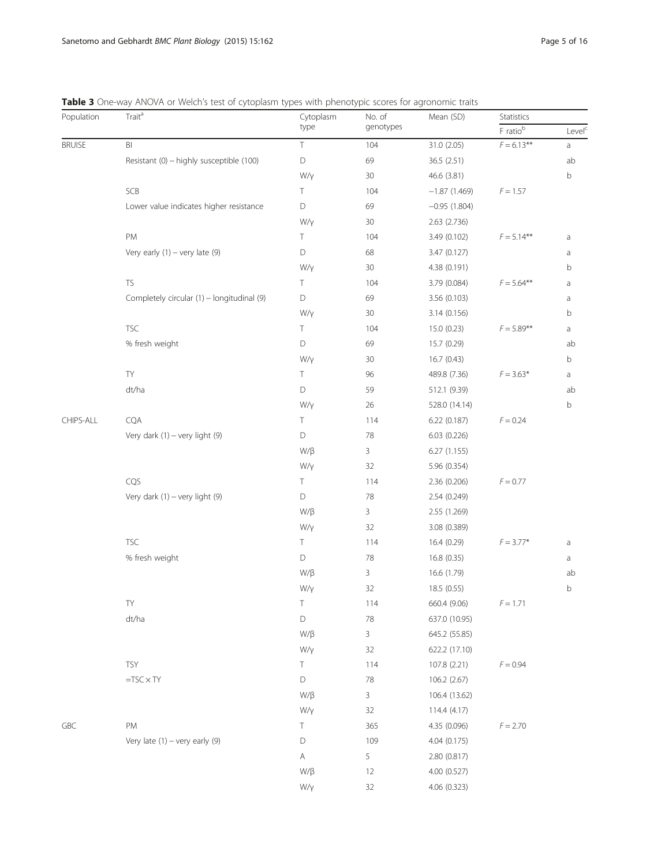# <span id="page-4-0"></span>Table 3 One-way ANOVA or Welch's test of cytoplasm types with phenotypic scores for agronomic traits

| Population    | Trait <sup>a</sup>                         | Cytoplasm                                                                                                                                                                                                                                                               | No. of                                                                                                                                                                                                                                 | Mean (SD)                                                                                                                                                                                                                                                                                                                                                                                                                                                                                                                                               | Statistics             |       |
|---------------|--------------------------------------------|-------------------------------------------------------------------------------------------------------------------------------------------------------------------------------------------------------------------------------------------------------------------------|----------------------------------------------------------------------------------------------------------------------------------------------------------------------------------------------------------------------------------------|---------------------------------------------------------------------------------------------------------------------------------------------------------------------------------------------------------------------------------------------------------------------------------------------------------------------------------------------------------------------------------------------------------------------------------------------------------------------------------------------------------------------------------------------------------|------------------------|-------|
|               |                                            | type                                                                                                                                                                                                                                                                    | genotypes                                                                                                                                                                                                                              |                                                                                                                                                                                                                                                                                                                                                                                                                                                                                                                                                         | $F$ ratio <sup>b</sup> | Level |
| <b>BRUISE</b> | BI                                         | $\top$                                                                                                                                                                                                                                                                  | 104                                                                                                                                                                                                                                    | 31.0 (2.05)                                                                                                                                                                                                                                                                                                                                                                                                                                                                                                                                             | $F = 6.13***$          | a     |
|               | Resistant (0) - highly susceptible (100)   | $\mathsf D$                                                                                                                                                                                                                                                             | 69                                                                                                                                                                                                                                     | 36.5 (2.51)                                                                                                                                                                                                                                                                                                                                                                                                                                                                                                                                             |                        | ab    |
|               |                                            | W/γ                                                                                                                                                                                                                                                                     | 30                                                                                                                                                                                                                                     | 46.6 (3.81)                                                                                                                                                                                                                                                                                                                                                                                                                                                                                                                                             |                        | b     |
|               | SCB                                        | T                                                                                                                                                                                                                                                                       | 104                                                                                                                                                                                                                                    | $-1.87(1.469)$                                                                                                                                                                                                                                                                                                                                                                                                                                                                                                                                          | $F = 1.57$             |       |
|               | Lower value indicates higher resistance    | D                                                                                                                                                                                                                                                                       | 69                                                                                                                                                                                                                                     | $-0.95(1.804)$                                                                                                                                                                                                                                                                                                                                                                                                                                                                                                                                          |                        |       |
|               |                                            | W/γ                                                                                                                                                                                                                                                                     | 30                                                                                                                                                                                                                                     | 2.63 (2.736)                                                                                                                                                                                                                                                                                                                                                                                                                                                                                                                                            |                        |       |
|               | PM                                         | T                                                                                                                                                                                                                                                                       | 104                                                                                                                                                                                                                                    | 3.49 (0.102)                                                                                                                                                                                                                                                                                                                                                                                                                                                                                                                                            | $F = 5.14***$          | a     |
|               | Very early $(1)$ - very late $(9)$         | D                                                                                                                                                                                                                                                                       | 68                                                                                                                                                                                                                                     | 3.47 (0.127)                                                                                                                                                                                                                                                                                                                                                                                                                                                                                                                                            |                        | a     |
|               |                                            | W/γ                                                                                                                                                                                                                                                                     | 30                                                                                                                                                                                                                                     | 4.38 (0.191)<br>3.79 (0.084)<br>3.56 (0.103)<br>3.14(0.156)<br>15.0 (0.23)<br>15.7 (0.29)<br>16.7 (0.43)<br>489.8 (7.36)<br>512.1 (9.39)<br>528.0 (14.14)<br>6.22 (0.187)<br>6.03(0.226)<br>6.27(1.155)<br>5.96 (0.354)<br>2.36 (0.206)<br>2.54 (0.249)<br>2.55 (1.269)<br>3.08 (0.389)<br>16.4 (0.29)<br>16.8 (0.35)<br>16.6 (1.79)<br>18.5 (0.55)<br>660.4 (9.06)<br>637.0 (10.95)<br>645.2 (55.85)<br>622.2 (17.10)<br>107.8 (2.21)<br>106.2 (2.67)<br>106.4 (13.62)<br>114.4 (4.17)<br>4.35 (0.096)<br>4.04 (0.175)<br>2.80 (0.817)<br>4.00 (0.527) |                        | b     |
|               | TS                                         | T                                                                                                                                                                                                                                                                       | 104<br>69<br>30<br>104<br>69<br>30<br>96<br>59<br>26<br>114<br>78<br>$\mathbf{3}$<br>32<br>114<br>78<br>3<br>32<br>114<br>78<br>3<br>32<br>114<br>78<br>3<br>32<br>114<br>78<br>3<br>32<br>365<br>109<br>5<br>12<br>32<br>4.06 (0.323) | $F = 5.64***$                                                                                                                                                                                                                                                                                                                                                                                                                                                                                                                                           | a                      |       |
|               | Completely circular (1) - longitudinal (9) | D                                                                                                                                                                                                                                                                       |                                                                                                                                                                                                                                        |                                                                                                                                                                                                                                                                                                                                                                                                                                                                                                                                                         | a                      |       |
|               |                                            | W/y                                                                                                                                                                                                                                                                     |                                                                                                                                                                                                                                        |                                                                                                                                                                                                                                                                                                                                                                                                                                                                                                                                                         | b                      |       |
|               | $\mathsf{T}\mathsf{S}\mathsf{C}$           | Τ<br>D<br>W/y<br>T<br>D<br>W/y<br>Τ<br>D<br>$W/\beta$<br>W/γ<br>T<br>$\mathsf D$<br>$W/\beta$<br>W/γ<br>Τ<br>$\mathsf D$<br>$W/\beta$<br>W/γ<br>$\top$<br>$\mathsf D$<br>$W/\beta$<br>W/γ<br>T<br>$\mathsf D$<br>$W/\beta$<br>W/γ<br>Τ<br>$\mathsf D$<br>Α<br>$W/\beta$ | $F = 5.89***$                                                                                                                                                                                                                          | a                                                                                                                                                                                                                                                                                                                                                                                                                                                                                                                                                       |                        |       |
|               | % fresh weight                             |                                                                                                                                                                                                                                                                         |                                                                                                                                                                                                                                        |                                                                                                                                                                                                                                                                                                                                                                                                                                                                                                                                                         |                        | ab    |
|               |                                            |                                                                                                                                                                                                                                                                         |                                                                                                                                                                                                                                        |                                                                                                                                                                                                                                                                                                                                                                                                                                                                                                                                                         |                        | b     |
|               | $\top$                                     |                                                                                                                                                                                                                                                                         | $W/\gamma$                                                                                                                                                                                                                             | $F = 3.63*$                                                                                                                                                                                                                                                                                                                                                                                                                                                                                                                                             | a                      |       |
|               | dt/ha                                      |                                                                                                                                                                                                                                                                         |                                                                                                                                                                                                                                        |                                                                                                                                                                                                                                                                                                                                                                                                                                                                                                                                                         |                        | ab    |
|               |                                            |                                                                                                                                                                                                                                                                         |                                                                                                                                                                                                                                        |                                                                                                                                                                                                                                                                                                                                                                                                                                                                                                                                                         |                        | b     |
| CHIPS-ALL     | CQA                                        |                                                                                                                                                                                                                                                                         |                                                                                                                                                                                                                                        |                                                                                                                                                                                                                                                                                                                                                                                                                                                                                                                                                         | $F = 0.24$             |       |
|               | Very dark (1) - very light (9)             |                                                                                                                                                                                                                                                                         |                                                                                                                                                                                                                                        |                                                                                                                                                                                                                                                                                                                                                                                                                                                                                                                                                         |                        |       |
|               |                                            |                                                                                                                                                                                                                                                                         |                                                                                                                                                                                                                                        |                                                                                                                                                                                                                                                                                                                                                                                                                                                                                                                                                         |                        |       |
|               |                                            |                                                                                                                                                                                                                                                                         |                                                                                                                                                                                                                                        |                                                                                                                                                                                                                                                                                                                                                                                                                                                                                                                                                         |                        |       |
|               | CQS                                        |                                                                                                                                                                                                                                                                         |                                                                                                                                                                                                                                        |                                                                                                                                                                                                                                                                                                                                                                                                                                                                                                                                                         | $F = 0.77$             |       |
|               | Very dark (1) - very light (9)             |                                                                                                                                                                                                                                                                         |                                                                                                                                                                                                                                        |                                                                                                                                                                                                                                                                                                                                                                                                                                                                                                                                                         |                        |       |
|               |                                            |                                                                                                                                                                                                                                                                         |                                                                                                                                                                                                                                        |                                                                                                                                                                                                                                                                                                                                                                                                                                                                                                                                                         |                        |       |
|               |                                            |                                                                                                                                                                                                                                                                         |                                                                                                                                                                                                                                        |                                                                                                                                                                                                                                                                                                                                                                                                                                                                                                                                                         |                        |       |
|               | <b>TSC</b>                                 |                                                                                                                                                                                                                                                                         |                                                                                                                                                                                                                                        |                                                                                                                                                                                                                                                                                                                                                                                                                                                                                                                                                         | $F = 3.77*$            | a     |
|               | % fresh weight                             |                                                                                                                                                                                                                                                                         |                                                                                                                                                                                                                                        |                                                                                                                                                                                                                                                                                                                                                                                                                                                                                                                                                         |                        | a     |
|               |                                            |                                                                                                                                                                                                                                                                         |                                                                                                                                                                                                                                        |                                                                                                                                                                                                                                                                                                                                                                                                                                                                                                                                                         |                        | ab    |
|               |                                            |                                                                                                                                                                                                                                                                         |                                                                                                                                                                                                                                        |                                                                                                                                                                                                                                                                                                                                                                                                                                                                                                                                                         |                        | b     |
|               | $\mathsf{TY}$                              |                                                                                                                                                                                                                                                                         |                                                                                                                                                                                                                                        |                                                                                                                                                                                                                                                                                                                                                                                                                                                                                                                                                         | $F = 1.71$             |       |
|               | dt/ha                                      |                                                                                                                                                                                                                                                                         |                                                                                                                                                                                                                                        |                                                                                                                                                                                                                                                                                                                                                                                                                                                                                                                                                         |                        |       |
|               |                                            |                                                                                                                                                                                                                                                                         |                                                                                                                                                                                                                                        |                                                                                                                                                                                                                                                                                                                                                                                                                                                                                                                                                         |                        |       |
|               |                                            |                                                                                                                                                                                                                                                                         |                                                                                                                                                                                                                                        |                                                                                                                                                                                                                                                                                                                                                                                                                                                                                                                                                         |                        |       |
|               | TSY                                        |                                                                                                                                                                                                                                                                         |                                                                                                                                                                                                                                        |                                                                                                                                                                                                                                                                                                                                                                                                                                                                                                                                                         | $F = 0.94$             |       |
|               | $=TSC\times TY$                            |                                                                                                                                                                                                                                                                         |                                                                                                                                                                                                                                        |                                                                                                                                                                                                                                                                                                                                                                                                                                                                                                                                                         |                        |       |
|               |                                            |                                                                                                                                                                                                                                                                         |                                                                                                                                                                                                                                        |                                                                                                                                                                                                                                                                                                                                                                                                                                                                                                                                                         |                        |       |
|               |                                            |                                                                                                                                                                                                                                                                         |                                                                                                                                                                                                                                        |                                                                                                                                                                                                                                                                                                                                                                                                                                                                                                                                                         |                        |       |
| GBC           | PM                                         |                                                                                                                                                                                                                                                                         |                                                                                                                                                                                                                                        |                                                                                                                                                                                                                                                                                                                                                                                                                                                                                                                                                         | $F = 2.70$             |       |
|               | Very late $(1)$ - very early $(9)$         |                                                                                                                                                                                                                                                                         |                                                                                                                                                                                                                                        |                                                                                                                                                                                                                                                                                                                                                                                                                                                                                                                                                         |                        |       |
|               |                                            |                                                                                                                                                                                                                                                                         |                                                                                                                                                                                                                                        |                                                                                                                                                                                                                                                                                                                                                                                                                                                                                                                                                         |                        |       |
|               |                                            |                                                                                                                                                                                                                                                                         |                                                                                                                                                                                                                                        |                                                                                                                                                                                                                                                                                                                                                                                                                                                                                                                                                         |                        |       |
|               |                                            |                                                                                                                                                                                                                                                                         |                                                                                                                                                                                                                                        |                                                                                                                                                                                                                                                                                                                                                                                                                                                                                                                                                         |                        |       |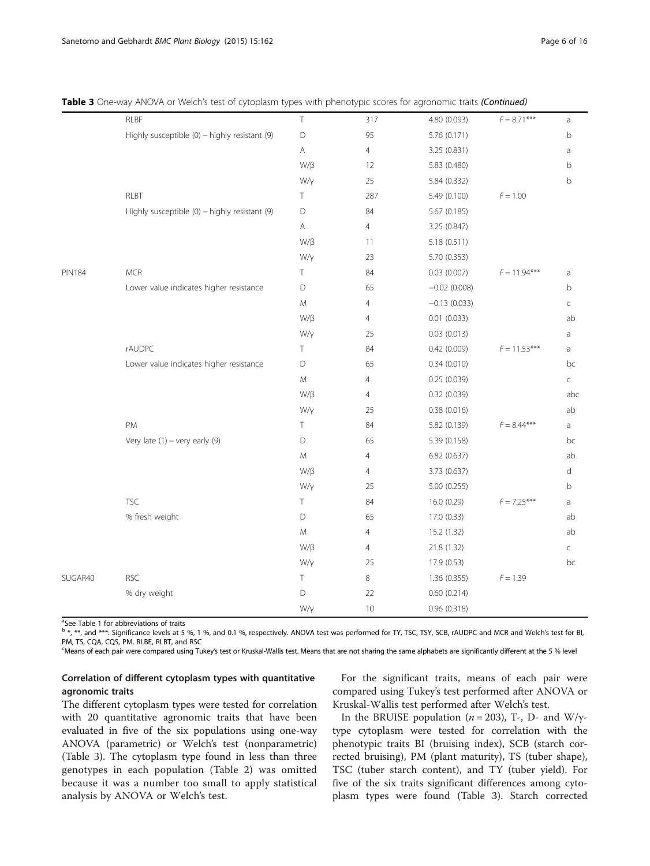|               | <b>RLBF</b>                                   | Τ             | 317            | 4.80 (0.093)    | $F = 8.71***$  | a           |
|---------------|-----------------------------------------------|---------------|----------------|-----------------|----------------|-------------|
|               | Highly susceptible (0) - highly resistant (9) | $\mathsf{D}%$ | 95             | 5.76 (0.171)    |                | b           |
|               |                                               | Α             | $\overline{4}$ | 3.25 (0.831)    |                | a           |
|               |                                               | $W/\beta$     | 12             | 5.83 (0.480)    |                | b           |
|               |                                               | W/y           | 25             | 5.84 (0.332)    |                | b           |
|               | <b>RLBT</b>                                   | Τ             | 287            | 5.49 (0.100)    | $F = 1.00$     |             |
|               | Highly susceptible (0) - highly resistant (9) | $\mathsf D$   | 84             | 5.67 (0.185)    |                |             |
|               |                                               | Α             | $\overline{4}$ | 3.25 (0.847)    |                |             |
|               |                                               | $W/\beta$     | 11             | 5.18 (0.511)    |                |             |
|               |                                               | W/γ           | 23             | 5.70 (0.353)    |                |             |
| <b>PIN184</b> | <b>MCR</b>                                    | Τ             | 84             | 0.03(0.007)     | $F = 11.94***$ | a           |
|               | Lower value indicates higher resistance       | D             | 65             | $-0.02$ (0.008) |                | b           |
|               |                                               | M             | $\overline{4}$ | $-0.13(0.033)$  |                | $\mathsf C$ |
|               |                                               | $W/\beta$     | $\overline{4}$ | 0.01(0.033)     |                | ab          |
|               |                                               | W/y           | 25             | 0.03(0.013)     |                | a           |
|               | rAUDPC                                        | Τ             | 84             | 0.42(0.009)     | $F = 11.53***$ | a           |
|               | Lower value indicates higher resistance       | D             | 65             | 0.34(0.010)     |                | bc          |
|               |                                               | M             | $\overline{4}$ | 0.25(0.039)     |                | $\subset$   |
|               |                                               | $W/\beta$     | $\overline{4}$ | 0.32 (0.039)    |                | abc         |
|               |                                               | W/γ           | 25             | 0.38(0.016)     |                | ab          |
|               | PM                                            | Τ             | 84             | 5.82 (0.139)    | $F = 8.44***$  | a           |
|               | Very late $(1)$ - very early $(9)$            | D             | 65             | 5.39 (0.158)    |                | bc          |
|               |                                               | M             | $\overline{4}$ | 6.82(0.637)     |                | ab          |
|               |                                               | $W/\beta$     | 4              | 3.73 (0.637)    |                | d           |
|               |                                               | W/y           | 25             | 5.00 (0.255)    |                | b           |
|               | <b>TSC</b>                                    | Τ             | 84             | 16.0 (0.29)     | $F = 7.25***$  | a           |
|               | % fresh weight                                | $\mathsf D$   | 65             | 17.0 (0.33)     |                | ab          |
|               |                                               | M             | 4              | 15.2 (1.32)     |                | ab          |
|               |                                               | $W/\beta$     | $\overline{4}$ | 21.8 (1.32)     |                | $\mathsf C$ |
|               |                                               | W/y           | 25             | 17.9 (0.53)     |                | bc          |
| SUGAR40       | <b>RSC</b>                                    | Τ             | $\,8\,$        | 1.36 (0.355)    | $F = 1.39$     |             |
|               | % dry weight                                  | D             | 22             | 0.60(0.214)     |                |             |
|               |                                               | W/y           | $10$           | 0.96 (0.318)    |                |             |

| Table 3 One-way ANOVA or Welch's test of cytoplasm types with phenotypic scores for agronomic traits (Continued) |  |  |  |  |
|------------------------------------------------------------------------------------------------------------------|--|--|--|--|
|------------------------------------------------------------------------------------------------------------------|--|--|--|--|

<sup>a</sup>See Table 1 for abbreviations of traits

b \*, \*\*, and \*\*\*: Significance levels at 5 %, [1](#page-2-0) %, and 0.1 %, respectively. ANOVA test was performed for TY, TSC, TSY, SCB, rAUDPC and MCR and Welch's test for BI, PM, TS, COA, COS, PM, RLBE, RLBT, and RSC

c Means of each pair were compared using Tukey's test or Kruskal-Wallis test. Means that are not sharing the same alphabets are significantly different at the 5 % level

# Correlation of different cytoplasm types with quantitative agronomic traits

The different cytoplasm types were tested for correlation with 20 quantitative agronomic traits that have been evaluated in five of the six populations using one-way ANOVA (parametric) or Welch's test (nonparametric) (Table [3](#page-4-0)). The cytoplasm type found in less than three genotypes in each population (Table [2\)](#page-3-0) was omitted because it was a number too small to apply statistical analysis by ANOVA or Welch's test.

For the significant traits, means of each pair were compared using Tukey's test performed after ANOVA or Kruskal-Wallis test performed after Welch's test.

In the BRUISE population ( $n = 203$ ), T-, D- and W/γtype cytoplasm were tested for correlation with the phenotypic traits BI (bruising index), SCB (starch corrected bruising), PM (plant maturity), TS (tuber shape), TSC (tuber starch content), and TY (tuber yield). For five of the six traits significant differences among cytoplasm types were found (Table [3\)](#page-4-0). Starch corrected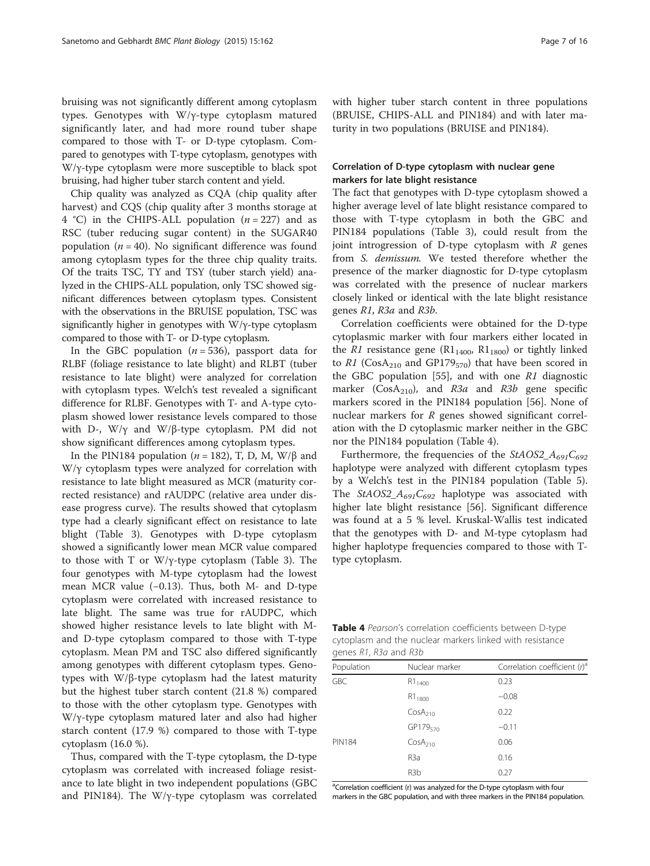<span id="page-6-0"></span>bruising was not significantly different among cytoplasm types. Genotypes with W/γ-type cytoplasm matured significantly later, and had more round tuber shape compared to those with T- or D-type cytoplasm. Compared to genotypes with T-type cytoplasm, genotypes with W/γ-type cytoplasm were more susceptible to black spot bruising, had higher tuber starch content and yield.

Chip quality was analyzed as CQA (chip quality after harvest) and CQS (chip quality after 3 months storage at 4 °C) in the CHIPS-ALL population  $(n = 227)$  and as RSC (tuber reducing sugar content) in the SUGAR40 population ( $n = 40$ ). No significant difference was found among cytoplasm types for the three chip quality traits. Of the traits TSC, TY and TSY (tuber starch yield) analyzed in the CHIPS-ALL population, only TSC showed significant differences between cytoplasm types. Consistent with the observations in the BRUISE population, TSC was significantly higher in genotypes with W/γ-type cytoplasm compared to those with T- or D-type cytoplasm.

In the GBC population  $(n = 536)$ , passport data for RLBF (foliage resistance to late blight) and RLBT (tuber resistance to late blight) were analyzed for correlation with cytoplasm types. Welch's test revealed a significant difference for RLBF. Genotypes with T- and A-type cytoplasm showed lower resistance levels compared to those with D-, W/γ and W/β-type cytoplasm. PM did not show significant differences among cytoplasm types.

In the PIN184 population ( $n = 182$ ), T, D, M, W/β and W/γ cytoplasm types were analyzed for correlation with resistance to late blight measured as MCR (maturity corrected resistance) and rAUDPC (relative area under disease progress curve). The results showed that cytoplasm type had a clearly significant effect on resistance to late blight (Table [3](#page-4-0)). Genotypes with D-type cytoplasm showed a significantly lower mean MCR value compared to those with T or  $W/\gamma$ -type cytoplasm (Table [3\)](#page-4-0). The four genotypes with M-type cytoplasm had the lowest mean MCR value (−0.13). Thus, both M- and D-type cytoplasm were correlated with increased resistance to late blight. The same was true for rAUDPC, which showed higher resistance levels to late blight with Mand D-type cytoplasm compared to those with T-type cytoplasm. Mean PM and TSC also differed significantly among genotypes with different cytoplasm types. Genotypes with W/β-type cytoplasm had the latest maturity but the highest tuber starch content (21.8 %) compared to those with the other cytoplasm type. Genotypes with W/γ-type cytoplasm matured later and also had higher starch content (17.9 %) compared to those with T-type cytoplasm (16.0 %).

Thus, compared with the T-type cytoplasm, the D-type cytoplasm was correlated with increased foliage resistance to late blight in two independent populations (GBC and PIN184). The W/γ-type cytoplasm was correlated with higher tuber starch content in three populations (BRUISE, CHIPS-ALL and PIN184) and with later maturity in two populations (BRUISE and PIN184).

# Correlation of D-type cytoplasm with nuclear gene markers for late blight resistance

The fact that genotypes with D-type cytoplasm showed a higher average level of late blight resistance compared to those with T-type cytoplasm in both the GBC and PIN184 populations (Table [3](#page-4-0)), could result from the joint introgression of D-type cytoplasm with  $R$  genes from S. demissum. We tested therefore whether the presence of the marker diagnostic for D-type cytoplasm was correlated with the presence of nuclear markers closely linked or identical with the late blight resistance genes R1, R3a and R3b.

Correlation coefficients were obtained for the D-type cytoplasmic marker with four markers either located in the R1 resistance gene ( $R1_{1400}$ ,  $R1_{1800}$ ) or tightly linked to R1 ( $\text{CosA}_{210}$  and GP179<sub>570</sub>) that have been scored in the GBC population [\[55](#page-15-0)], and with one  $R1$  diagnostic marker ( $CosA_{210}$ ), and R3a and R3b gene specific markers scored in the PIN184 population [[56](#page-15-0)]. None of nuclear markers for R genes showed significant correlation with the D cytoplasmic marker neither in the GBC nor the PIN184 population (Table 4).

Furthermore, the frequencies of the  $StAOS2_A_{691}C_{692}$ haplotype were analyzed with different cytoplasm types by a Welch's test in the PIN184 population (Table [5](#page-7-0)). The  $StAOS2_A_{691}C_{692}$  haplotype was associated with higher late blight resistance [[56\]](#page-15-0). Significant difference was found at a 5 % level. Kruskal-Wallis test indicated that the genotypes with D- and M-type cytoplasm had higher haplotype frequencies compared to those with Ttype cytoplasm.

Table 4 Pearson's correlation coefficients between D-type cytoplasm and the nuclear markers linked with resistance genes R1, R3a and R3b

| Population    | Nuclear marker       | Correlation coefficient $(r)^a$ |
|---------------|----------------------|---------------------------------|
| <b>GBC</b>    | $R1_{1400}$          | 0.23                            |
|               | $R1_{1800}$          | $-0.08$                         |
|               | CosA <sub>210</sub>  | 0.22                            |
|               | GP179 <sub>570</sub> | $-0.11$                         |
| <b>PIN184</b> | CosA <sub>210</sub>  | 0.06                            |
|               | R <sub>3</sub> a     | 0.16                            |
|               | R <sub>3</sub> b     | 0.27                            |

<sup>a</sup>Correlation coefficient (r) was analyzed for the D-type cytoplasm with four markers in the GBC population, and with three markers in the PIN184 population.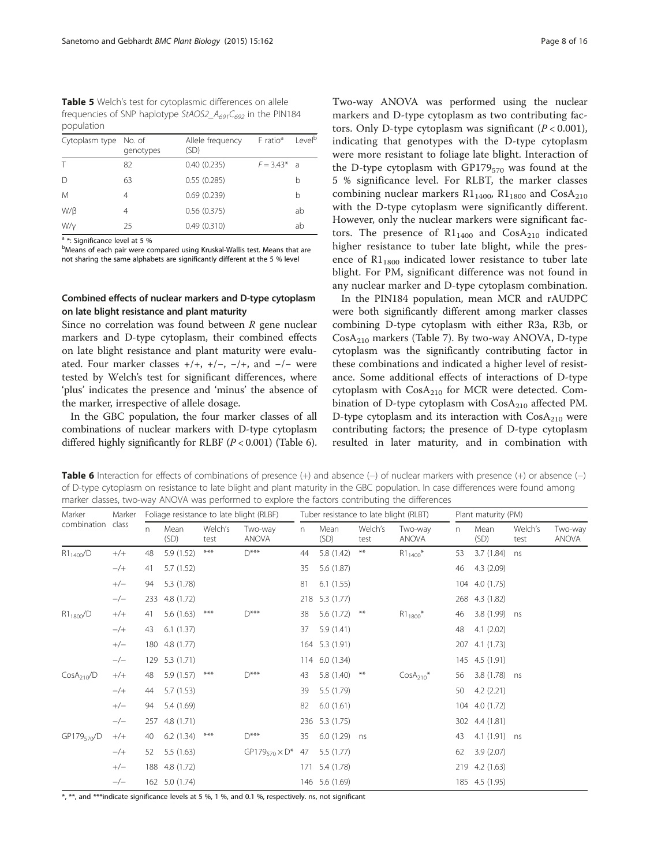<span id="page-7-0"></span>Table 5 Welch's test for cytoplasmic differences on allele frequencies of SNP haplotype StAOS2\_ $A_{691}C_{692}$  in the PIN184 population

| Cytoplasm type | No. of<br>genotypes | Allele frequency<br>(SD) | $F$ ratio <sup>a</sup> | Level <sup>b</sup> |
|----------------|---------------------|--------------------------|------------------------|--------------------|
| Т              | 82                  | 0.40(0.235)              | $F = 3.43^*$ a         |                    |
| $\mathsf{D}$   | 63                  | 0.55(0.285)              |                        | h                  |
| M              | 4                   | 0.69(0.239)              |                        | b                  |
| W/B            | 4                   | 0.56(0.375)              |                        | ab                 |
| W/y            | 25                  | 0.49(0.310)              |                        | ab                 |

 $a^*$ : Significance level at 5 %

bMeans of each pair were compared using Kruskal-Wallis test. Means that are not sharing the same alphabets are significantly different at the 5 % level

# Combined effects of nuclear markers and D-type cytoplasm on late blight resistance and plant maturity

Since no correlation was found between  $R$  gene nuclear markers and D-type cytoplasm, their combined effects on late blight resistance and plant maturity were evaluated. Four marker classes  $+/+, +/-, -/+,$  and  $-/-$  were tested by Welch's test for significant differences, where 'plus' indicates the presence and 'minus' the absence of the marker, irrespective of allele dosage.

In the GBC population, the four marker classes of all combinations of nuclear markers with D-type cytoplasm differed highly significantly for RLBF (P < 0.001) (Table 6).

Two-way ANOVA was performed using the nuclear markers and D-type cytoplasm as two contributing factors. Only D-type cytoplasm was significant  $(P < 0.001)$ , indicating that genotypes with the D-type cytoplasm were more resistant to foliage late blight. Interaction of the D-type cytoplasm with  $GP179_{570}$  was found at the 5 % significance level. For RLBT, the marker classes combining nuclear markers  $R1_{1400}$ ,  $R1_{1800}$  and  $CosA_{210}$ with the D-type cytoplasm were significantly different. However, only the nuclear markers were significant factors. The presence of  $R1_{1400}$  and  $CosA_{210}$  indicated higher resistance to tuber late blight, while the presence of  $R1_{1800}$  indicated lower resistance to tuber late blight. For PM, significant difference was not found in any nuclear marker and D-type cytoplasm combination.

In the PIN184 population, mean MCR and rAUDPC were both significantly different among marker classes combining D-type cytoplasm with either R3a, R3b, or CosA210 markers (Table [7\)](#page-8-0). By two-way ANOVA, D-type cytoplasm was the significantly contributing factor in these combinations and indicated a higher level of resistance. Some additional effects of interactions of D-type cytoplasm with  $CosA<sub>210</sub>$  for MCR were detected. Combination of D-type cytoplasm with  $CosA_{210}$  affected PM. D-type cytoplasm and its interaction with  $CosA_{210}$  were contributing factors; the presence of D-type cytoplasm resulted in later maturity, and in combination with

Table 6 Interaction for effects of combinations of presence (+) and absence (−) of nuclear markers with presence (+) or absence (−) of D-type cytoplasm on resistance to late blight and plant maturity in the GBC population. In case differences were found among marker classes, two-way ANOVA was performed to explore the factors contributing the differences

| Marker<br>combination   | Marker   |          |                |                 | Foliage resistance to late blight (RLBF) |     |                 | Tuber resistance to late blight (RLBT) |                  |     | Plant maturity (PM) |                 |                  |
|-------------------------|----------|----------|----------------|-----------------|------------------------------------------|-----|-----------------|----------------------------------------|------------------|-----|---------------------|-----------------|------------------|
|                         | class    | $\Gamma$ | Mean<br>(SD)   | Welch's<br>test | Two-way<br>ANOVA                         | n   | Mean<br>(SD)    | Welch's<br>test                        | Two-way<br>ANOVA | n   | Mean<br>(SD)        | Welch's<br>test | Two-way<br>ANOVA |
| $R1_{1400}$ /D          | $+/+$    | 48       | 5.9 (1.52)     | $***$           | $D***$                                   | 44  | 5.8 (1.42)      | $***$                                  | $R1_{1400}$ *    | 53  | 3.7(1.84)           | ns              |                  |
|                         | $-/+$    | 41       | 5.7(1.52)      |                 |                                          | 35  | 5.6(1.87)       |                                        |                  | 46  | 4.3(2.09)           |                 |                  |
|                         | $+/-$    | 94       | 5.3(1.78)      |                 |                                          | 81  | 6.1(1.55)       |                                        |                  |     | 104 4.0 (1.75)      |                 |                  |
|                         | $-/-$    | 233      | 4.8 (1.72)     |                 |                                          |     | 218 5.3 (1.77)  |                                        |                  |     | 268 4.3 (1.82)      |                 |                  |
| $R1_{1800}/D$           | $^{+/+}$ | 41       | 5.6(1.63)      | $***$           | $D***$                                   | 38  | 5.6 $(1.72)$ ** |                                        | $R1_{1800}$ *    | 46  | 3.8 (1.99) ns       |                 |                  |
|                         | $-/+$    | 43       | 6.1(1.37)      |                 |                                          | 37  | 5.9(1.41)       |                                        |                  | 48  | 4.1(2.02)           |                 |                  |
|                         | $+/-$    |          | 180 4.8 (1.77) |                 |                                          |     | 164 5.3 (1.91)  |                                        |                  | 207 | 4.1 (1.73)          |                 |                  |
|                         | $-/-$    |          | 129 5.3 (1.71) |                 |                                          |     | 114 6.0 (1.34)  |                                        |                  |     | 145 4.5 (1.91)      |                 |                  |
| CosA <sub>210</sub> /D  | $+/+$    | 48       | 5.9(1.57)      | $***$           | $\bigcap$ ***                            | 43  | 5.8 $(1.40)$ ** |                                        | $CosA210$ *      | 56  | 3.8 (1.78) ns       |                 |                  |
|                         | $-/+$    | 44       | 5.7(1.53)      |                 |                                          | 39  | 5.5 (1.79)      |                                        |                  | 50  | 4.2(2.21)           |                 |                  |
|                         | $+/-$    | 94       | 5.4 (1.69)     |                 |                                          | 82  | 6.0(1.61)       |                                        |                  |     | 104 4.0 (1.72)      |                 |                  |
|                         | $-/-$    | 257      | 4.8(1.71)      |                 |                                          | 236 | 5.3(1.75)       |                                        |                  |     | 302 4.4 (1.81)      |                 |                  |
| GP179 <sub>570</sub> /D | $+/+$    | 40       | 6.2(1.34)      | $***$           | $\bigcap$ ***                            | 35  | $6.0(1.29)$ ns  |                                        |                  | 43  | 4.1 (1.91) ns       |                 |                  |
|                         | $-/+$    | 52       | 5.5(1.63)      |                 | $GP179_{570} \times D^*$                 | 47  | 5.5(1.77)       |                                        |                  | 62  | 3.9(2.07)           |                 |                  |
|                         | $+/-$    |          | 188 4.8 (1.72) |                 |                                          | 171 | 5.4 (1.78)      |                                        |                  |     | 219 4.2 (1.63)      |                 |                  |
|                         | $-/-$    |          | 162 5.0 (1.74) |                 |                                          |     | 146 5.6 (1.69)  |                                        |                  |     | 185 4.5 (1.95)      |                 |                  |

\*, \*\*, and \*\*\*indicate significance levels at 5 %, 1 %, and 0.1 %, respectively. ns, not significant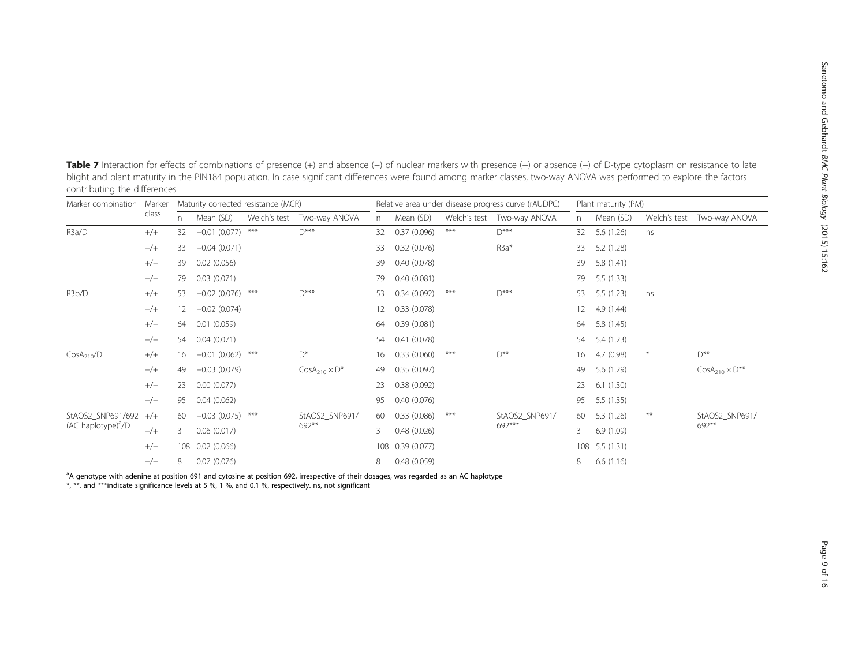| Marker combination             | Marker | Maturity corrected resistance (MCR) |                     |              |                | Relative area under disease progress curve (rAUDPC) |                  |       |                            |     | Plant maturity (PM) |        |                            |  |  |
|--------------------------------|--------|-------------------------------------|---------------------|--------------|----------------|-----------------------------------------------------|------------------|-------|----------------------------|-----|---------------------|--------|----------------------------|--|--|
|                                | class  | n                                   | Mean (SD)           | Welch's test | Two-way ANOVA  | n.                                                  | Mean (SD)        |       | Welch's test Two-way ANOVA | n.  | Mean (SD)           |        | Welch's test Two-way ANOVA |  |  |
| R3a/D                          | $+/+$  | 32                                  | $-0.01(0.077)$      | $***$        | $D***$         | 32                                                  | 0.37(0.096)      | $***$ | $D***$                     | 32  | 5.6 (1.26)          | ns     |                            |  |  |
|                                | $-/+$  | 33                                  | $-0.04(0.071)$      |              |                | 33                                                  | 0.32(0.076)      |       | R3a*                       | 33  | 5.2(1.28)           |        |                            |  |  |
|                                | $+/-$  | 39                                  | 0.02(0.056)         |              |                | 39                                                  | 0.40(0.078)      |       |                            | 39  | 5.8(1.41)           |        |                            |  |  |
|                                | $-/-$  | 79                                  | 0.03(0.071)         |              |                | 79                                                  | 0.40(0.081)      |       |                            | 79  | 5.5(1.33)           |        |                            |  |  |
| R3b/D                          | $+/+$  | 53                                  | $-0.02(0.076)$      | ***          | $D***$         | 53                                                  | 0.34(0.092)      | $***$ | $D***$                     | 53  | 5.5(1.23)           | ns     |                            |  |  |
|                                | $-/+$  | 12                                  | $-0.02$ (0.074)     |              |                | 12                                                  | 0.33(0.078)      |       |                            | 12  | 4.9(1.44)           |        |                            |  |  |
|                                | $+/-$  | 64                                  | 0.01(0.059)         |              |                | 64                                                  | 0.39(0.081)      |       |                            | 64  | 5.8(1.45)           |        |                            |  |  |
|                                | $-/-$  | 54                                  | 0.04(0.071)         |              |                | 54                                                  | 0.41(0.078)      |       |                            | 54  | 5.4 (1.23)          |        |                            |  |  |
| CosA <sub>210</sub> /D         | $+/+$  | 16                                  | $-0.01(0.062)$      | ***          | $D^*$          | 16                                                  | 0.33(0.060)      | $***$ | $D***$                     | 16  | 4.7(0.98)           | $\ast$ | $D***$                     |  |  |
|                                | $-/+$  | 49                                  | $-0.03(0.079)$      |              | $CosA210 × D*$ | 49                                                  | 0.35(0.097)      |       |                            | 49  | 5.6 (1.29)          |        | $CosA210 \times D**$       |  |  |
|                                | $+/-$  | 23                                  | 0.00(0.077)         |              |                | 23                                                  | 0.38(0.092)      |       |                            | 23  | 6.1(1.30)           |        |                            |  |  |
|                                | $-/-$  | 95                                  | 0.04(0.062)         |              |                | 95                                                  | 0.40(0.076)      |       |                            | 95  | 5.5(1.35)           |        |                            |  |  |
| StAOS2 SNP691/692              | $+/+$  | 60                                  | $-0.03$ (0.075) *** |              | StAOS2_SNP691/ | 60                                                  | 0.33(0.086)      | $***$ | StAOS2_SNP691/             | 60  | 5.3(1.26)           | $***$  | StAOS2_SNP691/             |  |  |
| (AC haplotype) <sup>a</sup> /D | $-/+$  | 3                                   | 0.06(0.017)         |              | 692**          | 3                                                   | 0.48(0.026)      |       | 692***                     | 3   | 6.9(1.09)           |        | 692**                      |  |  |
|                                | $+/-$  |                                     | 108 0.02 (0.066)    |              |                |                                                     | 108 0.39 (0.077) |       |                            | 108 | 5.5(1.31)           |        |                            |  |  |
|                                | $-/-$  | 8                                   | 0.07(0.076)         |              |                | 8                                                   | 0.48(0.059)      |       |                            | 8   | 6.6(1.16)           |        |                            |  |  |

<span id="page-8-0"></span>Table 7 Interaction for effects of combinations of presence (+) and absence (−) of nuclear markers with presence (+) or absence (−) of D-type cytoplasm on resistance to late blight and plant maturity in the PIN184 population. In case significant differences were found among marker classes, two-way ANOVA was performed to explore the factors contributing the differences

<sup>a</sup>A genotype with adenine at position 691 and cytosine at position 692, irrespective of their dosages, was regarded as an AC haplotype

\*, \*\*, and \*\*\*indicate significance levels at 5 %, 1 %, and 0.1 %, respectively. ns, not significant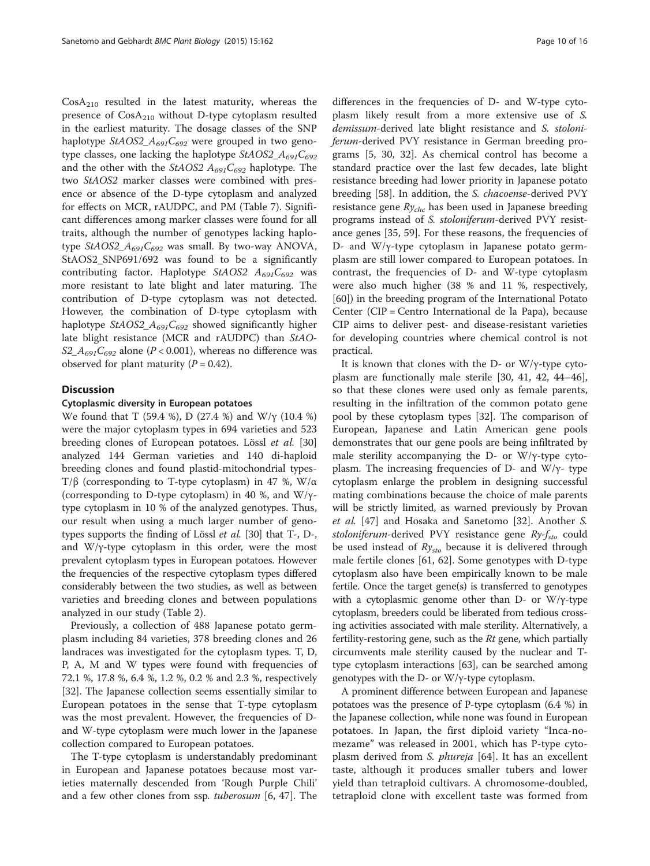$CosA<sub>210</sub>$  resulted in the latest maturity, whereas the presence of CosA210 without D-type cytoplasm resulted in the earliest maturity. The dosage classes of the SNP haplotype  $StAOS2_A_{691}C_{692}$  were grouped in two genotype classes, one lacking the haplotype  $StAOS2_{691}C_{692}$ and the other with the  $StAOS2 A_{691}C_{692}$  haplotype. The two StAOS2 marker classes were combined with presence or absence of the D-type cytoplasm and analyzed for effects on MCR, rAUDPC, and PM (Table [7\)](#page-8-0). Significant differences among marker classes were found for all traits, although the number of genotypes lacking haplotype  $StAOS2_A_{691}C_{692}$  was small. By two-way ANOVA, StAOS2 SNP691/692 was found to be a significantly contributing factor. Haplotype  $StAOS2$   $A_{691}C_{692}$  was more resistant to late blight and later maturing. The contribution of D-type cytoplasm was not detected. However, the combination of D-type cytoplasm with haplotype StAOS2\_ $A_{691}C_{692}$  showed significantly higher late blight resistance (MCR and rAUDPC) than StAO- $S2_{A_{69}I}C_{692}$  alone (P < 0.001), whereas no difference was observed for plant maturity  $(P = 0.42)$ .

#### **Discussion**

#### Cytoplasmic diversity in European potatoes

We found that T (59.4 %), D (27.4 %) and W/γ (10.4 %) were the major cytoplasm types in 694 varieties and 523 breeding clones of European potatoes. Lössl et al. [[30](#page-14-0)] analyzed 144 German varieties and 140 di-haploid breeding clones and found plastid-mitochondrial types-T/β (corresponding to T-type cytoplasm) in 47 %, W/α (corresponding to D-type cytoplasm) in 40 %, and  $W/\gamma$ type cytoplasm in 10 % of the analyzed genotypes. Thus, our result when using a much larger number of genotypes supports the finding of Lössl et al. [[30](#page-14-0)] that T-, D-, and  $W/\gamma$ -type cytoplasm in this order, were the most prevalent cytoplasm types in European potatoes. However the frequencies of the respective cytoplasm types differed considerably between the two studies, as well as between varieties and breeding clones and between populations analyzed in our study (Table [2](#page-3-0)).

Previously, a collection of 488 Japanese potato germplasm including 84 varieties, 378 breeding clones and 26 landraces was investigated for the cytoplasm types. T, D, P, A, M and W types were found with frequencies of 72.1 %, 17.8 %, 6.4 %, 1.2 %, 0.2 % and 2.3 %, respectively [[32\]](#page-14-0). The Japanese collection seems essentially similar to European potatoes in the sense that T-type cytoplasm was the most prevalent. However, the frequencies of Dand W-type cytoplasm were much lower in the Japanese collection compared to European potatoes.

The T-type cytoplasm is understandably predominant in European and Japanese potatoes because most varieties maternally descended from 'Rough Purple Chili' and a few other clones from ssp. tuberosum [\[6](#page-14-0), [47\]](#page-14-0). The

differences in the frequencies of D- and W-type cytoplasm likely result from a more extensive use of S. demissum-derived late blight resistance and S. stoloniferum-derived PVY resistance in German breeding programs [[5, 30, 32\]](#page-14-0). As chemical control has become a standard practice over the last few decades, late blight resistance breeding had lower priority in Japanese potato breeding [[58\]](#page-15-0). In addition, the S. chacoense-derived PVY resistance gene  $Ry_{chc}$  has been used in Japanese breeding programs instead of S. stoloniferum-derived PVY resistance genes [\[35](#page-14-0), [59\]](#page-15-0). For these reasons, the frequencies of D- and W/γ-type cytoplasm in Japanese potato germplasm are still lower compared to European potatoes. In contrast, the frequencies of D- and W-type cytoplasm were also much higher (38 % and 11 %, respectively, [[60\]](#page-15-0)) in the breeding program of the International Potato Center (CIP = Centro International de la Papa), because CIP aims to deliver pest- and disease-resistant varieties for developing countries where chemical control is not practical.

It is known that clones with the D- or W/γ-type cytoplasm are functionally male sterile [[30, 41, 42](#page-14-0), [44](#page-14-0)–[46](#page-14-0)], so that these clones were used only as female parents, resulting in the infiltration of the common potato gene pool by these cytoplasm types [\[32\]](#page-14-0). The comparison of European, Japanese and Latin American gene pools demonstrates that our gene pools are being infiltrated by male sterility accompanying the D- or W/γ-type cytoplasm. The increasing frequencies of D- and  $W/\gamma$ - type cytoplasm enlarge the problem in designing successful mating combinations because the choice of male parents will be strictly limited, as warned previously by Provan et al. [\[47](#page-14-0)] and Hosaka and Sanetomo [[32](#page-14-0)]. Another S. stoloniferum-derived PVY resistance gene  $Ry-f_{sto}$  could be used instead of  $Ry_{sto}$  because it is delivered through male fertile clones [\[61](#page-15-0), [62](#page-15-0)]. Some genotypes with D-type cytoplasm also have been empirically known to be male fertile. Once the target gene(s) is transferred to genotypes with a cytoplasmic genome other than D- or W/ $\gamma$ -type cytoplasm, breeders could be liberated from tedious crossing activities associated with male sterility. Alternatively, a fertility-restoring gene, such as the  $Rt$  gene, which partially circumvents male sterility caused by the nuclear and Ttype cytoplasm interactions [\[63\]](#page-15-0), can be searched among genotypes with the D- or W/γ-type cytoplasm.

A prominent difference between European and Japanese potatoes was the presence of P-type cytoplasm (6.4 %) in the Japanese collection, while none was found in European potatoes. In Japan, the first diploid variety "Inca-nomezame" was released in 2001, which has P-type cytoplasm derived from S. *phureja* [[64](#page-15-0)]. It has an excellent taste, although it produces smaller tubers and lower yield than tetraploid cultivars. A chromosome-doubled, tetraploid clone with excellent taste was formed from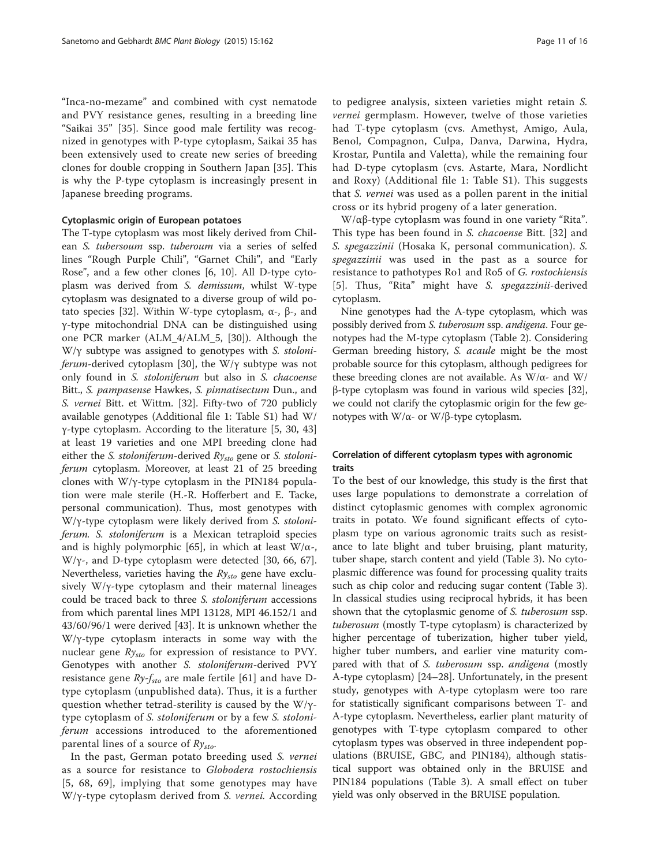"Inca-no-mezame" and combined with cyst nematode and PVY resistance genes, resulting in a breeding line "Saikai 35" [\[35](#page-14-0)]. Since good male fertility was recognized in genotypes with P-type cytoplasm, Saikai 35 has been extensively used to create new series of breeding clones for double cropping in Southern Japan [[35\]](#page-14-0). This is why the P-type cytoplasm is increasingly present in Japanese breeding programs.

# Cytoplasmic origin of European potatoes

The T-type cytoplasm was most likely derived from Chilean S. tubersoum ssp. tuberoum via a series of selfed lines "Rough Purple Chili", "Garnet Chili", and "Early Rose", and a few other clones [[6, 10\]](#page-14-0). All D-type cytoplasm was derived from S. demissum, whilst W-type cytoplasm was designated to a diverse group of wild po-tato species [\[32\]](#page-14-0). Within W-type cytoplasm,  $\alpha$ -, β-, and γ-type mitochondrial DNA can be distinguished using one PCR marker (ALM\_4/ALM\_5, [[30\]](#page-14-0)). Although the W/γ subtype was assigned to genotypes with S. stoloni*ferum-derived cytoplasm* [[30\]](#page-14-0), the W/ $\gamma$  subtype was not only found in S. stoloniferum but also in S. chacoense Bitt., S. pampasense Hawkes, S. pinnatisectum Dun., and S. vernei Bitt. et Wittm. [\[32](#page-14-0)]. Fifty-two of 720 publicly available genotypes (Additional file [1](#page-13-0): Table S1) had W/ γ-type cytoplasm. According to the literature [\[5](#page-14-0), [30, 43](#page-14-0)] at least 19 varieties and one MPI breeding clone had either the S. stoloniferum-derived  $Ry_{sto}$  gene or S. stoloniferum cytoplasm. Moreover, at least 21 of 25 breeding clones with W/γ-type cytoplasm in the PIN184 population were male sterile (H.-R. Hofferbert and E. Tacke, personal communication). Thus, most genotypes with W/γ-type cytoplasm were likely derived from S. stoloniferum. S. stoloniferum is a Mexican tetraploid species and is highly polymorphic [\[65\]](#page-15-0), in which at least  $W/\alpha$ -, W/γ-, and D-type cytoplasm were detected [\[30,](#page-14-0) [66, 67](#page-15-0)]. Nevertheless, varieties having the  $Ry_{sto}$  gene have exclusively W/γ-type cytoplasm and their maternal lineages could be traced back to three S. stoloniferum accessions from which parental lines MPI 13128, MPI 46.152/1 and 43/60/96/1 were derived [\[43\]](#page-14-0). It is unknown whether the W/γ-type cytoplasm interacts in some way with the nuclear gene  $Ry_{sto}$  for expression of resistance to PVY. Genotypes with another *S. stoloniferum*-derived PVY resistance gene  $Ry-f_{sto}$  are male fertile [[61](#page-15-0)] and have Dtype cytoplasm (unpublished data). Thus, it is a further question whether tetrad-sterility is caused by the W/γtype cytoplasm of *S. stoloniferum* or by a few *S. stoloni*ferum accessions introduced to the aforementioned parental lines of a source of  $Ry_{sto}$ .

In the past, German potato breeding used S. vernei as a source for resistance to Globodera rostochiensis [[5](#page-14-0), [68, 69](#page-15-0)], implying that some genotypes may have W/γ-type cytoplasm derived from S. vernei. According

to pedigree analysis, sixteen varieties might retain S. vernei germplasm. However, twelve of those varieties had T-type cytoplasm (cvs. Amethyst, Amigo, Aula, Benol, Compagnon, Culpa, Danva, Darwina, Hydra, Krostar, Puntila and Valetta), while the remaining four had D-type cytoplasm (cvs. Astarte, Mara, Nordlicht and Roxy) (Additional file [1](#page-13-0): Table S1). This suggests that S. vernei was used as a pollen parent in the initial cross or its hybrid progeny of a later generation.

W/αβ-type cytoplasm was found in one variety "Rita". This type has been found in S. chacoense Bitt. [[32\]](#page-14-0) and S. spegazzinii (Hosaka K, personal communication). S. spegazzinii was used in the past as a source for resistance to pathotypes Ro1 and Ro5 of G. rostochiensis [[5\]](#page-14-0). Thus, "Rita" might have S. spegazzinii-derived cytoplasm.

Nine genotypes had the A-type cytoplasm, which was possibly derived from S. tuberosum ssp. andigena. Four genotypes had the M-type cytoplasm (Table [2\)](#page-3-0). Considering German breeding history, S. acaule might be the most probable source for this cytoplasm, although pedigrees for these breeding clones are not available. As  $W/\alpha$ - and  $W/$ β-type cytoplasm was found in various wild species [[32](#page-14-0)], we could not clarify the cytoplasmic origin for the few genotypes with W/α- or W/β-type cytoplasm.

# Correlation of different cytoplasm types with agronomic traits

To the best of our knowledge, this study is the first that uses large populations to demonstrate a correlation of distinct cytoplasmic genomes with complex agronomic traits in potato. We found significant effects of cytoplasm type on various agronomic traits such as resistance to late blight and tuber bruising, plant maturity, tuber shape, starch content and yield (Table [3\)](#page-4-0). No cytoplasmic difference was found for processing quality traits such as chip color and reducing sugar content (Table [3](#page-4-0)). In classical studies using reciprocal hybrids, it has been shown that the cytoplasmic genome of S. tuberosum ssp. tuberosum (mostly T-type cytoplasm) is characterized by higher percentage of tuberization, higher tuber yield, higher tuber numbers, and earlier vine maturity compared with that of S. tuberosum ssp. andigena (mostly A-type cytoplasm) [[24](#page-14-0)–[28\]](#page-14-0). Unfortunately, in the present study, genotypes with A-type cytoplasm were too rare for statistically significant comparisons between T- and A-type cytoplasm. Nevertheless, earlier plant maturity of genotypes with T-type cytoplasm compared to other cytoplasm types was observed in three independent populations (BRUISE, GBC, and PIN184), although statistical support was obtained only in the BRUISE and PIN184 populations (Table [3\)](#page-4-0). A small effect on tuber yield was only observed in the BRUISE population.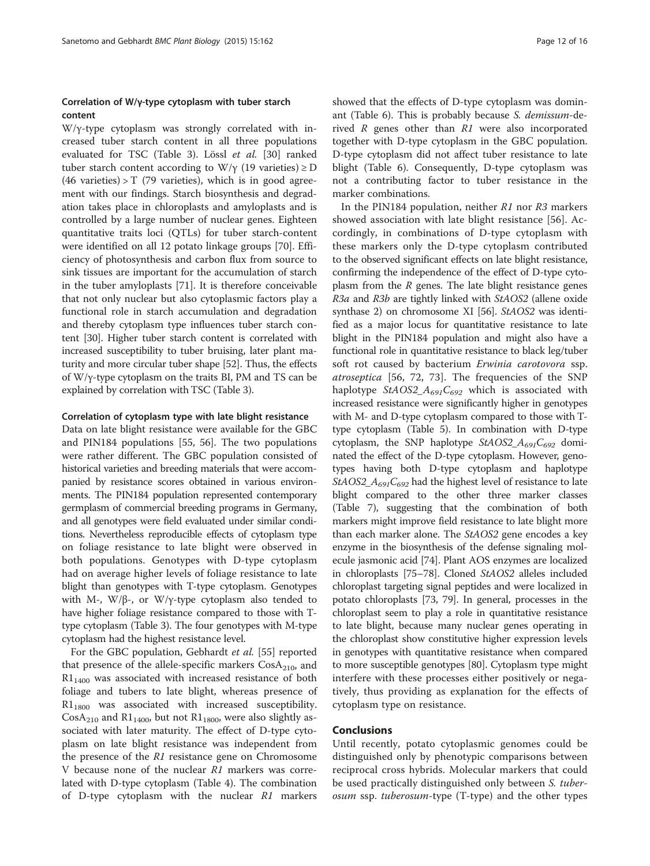# Correlation of W/γ-type cytoplasm with tuber starch content

W/γ-type cytoplasm was strongly correlated with increased tuber starch content in all three populations evaluated for TSC (Table [3](#page-4-0)). Lössl et al. [\[30](#page-14-0)] ranked tuber starch content according to W/ $\gamma$  (19 varieties) ≥ D  $(46 \text{ varieties})$  > T (79 varieties), which is in good agreement with our findings. Starch biosynthesis and degradation takes place in chloroplasts and amyloplasts and is controlled by a large number of nuclear genes. Eighteen quantitative traits loci (QTLs) for tuber starch-content were identified on all 12 potato linkage groups [[70\]](#page-15-0). Efficiency of photosynthesis and carbon flux from source to sink tissues are important for the accumulation of starch in the tuber amyloplasts [\[71](#page-15-0)]. It is therefore conceivable that not only nuclear but also cytoplasmic factors play a functional role in starch accumulation and degradation and thereby cytoplasm type influences tuber starch content [[30](#page-14-0)]. Higher tuber starch content is correlated with increased susceptibility to tuber bruising, later plant maturity and more circular tuber shape [\[52\]](#page-15-0). Thus, the effects of W/γ-type cytoplasm on the traits BI, PM and TS can be explained by correlation with TSC (Table [3\)](#page-4-0).

# Correlation of cytoplasm type with late blight resistance

Data on late blight resistance were available for the GBC and PIN184 populations [[55, 56\]](#page-15-0). The two populations were rather different. The GBC population consisted of historical varieties and breeding materials that were accompanied by resistance scores obtained in various environments. The PIN184 population represented contemporary germplasm of commercial breeding programs in Germany, and all genotypes were field evaluated under similar conditions. Nevertheless reproducible effects of cytoplasm type on foliage resistance to late blight were observed in both populations. Genotypes with D-type cytoplasm had on average higher levels of foliage resistance to late blight than genotypes with T-type cytoplasm. Genotypes with M-, W/β-, or W/γ-type cytoplasm also tended to have higher foliage resistance compared to those with Ttype cytoplasm (Table [3](#page-4-0)). The four genotypes with M-type cytoplasm had the highest resistance level.

For the GBC population, Gebhardt et al. [\[55](#page-15-0)] reported that presence of the allele-specific markers  $CosA_{210}$ , and  $R1_{1400}$  was associated with increased resistance of both foliage and tubers to late blight, whereas presence of  $R1_{1800}$  was associated with increased susceptibility.  $CosA<sub>210</sub>$  and R1<sub>1400</sub>, but not R1<sub>1800</sub>, were also slightly associated with later maturity. The effect of D-type cytoplasm on late blight resistance was independent from the presence of the R1 resistance gene on Chromosome V because none of the nuclear R1 markers was correlated with D-type cytoplasm (Table [4\)](#page-6-0). The combination of D-type cytoplasm with the nuclear R1 markers showed that the effects of D-type cytoplasm was dominant (Table [6](#page-7-0)). This is probably because S. demissum-derived R genes other than R1 were also incorporated together with D-type cytoplasm in the GBC population. D-type cytoplasm did not affect tuber resistance to late blight (Table [6](#page-7-0)). Consequently, D-type cytoplasm was not a contributing factor to tuber resistance in the marker combinations.

In the PIN184 population, neither R1 nor R3 markers showed association with late blight resistance [[56\]](#page-15-0). Accordingly, in combinations of D-type cytoplasm with these markers only the D-type cytoplasm contributed to the observed significant effects on late blight resistance, confirming the independence of the effect of D-type cytoplasm from the  $R$  genes. The late blight resistance genes R3a and R3b are tightly linked with StAOS2 (allene oxide synthase 2) on chromosome XI [[56](#page-15-0)]. StAOS2 was identified as a major locus for quantitative resistance to late blight in the PIN184 population and might also have a functional role in quantitative resistance to black leg/tuber soft rot caused by bacterium Erwinia carotovora ssp. atroseptica [[56, 72](#page-15-0), [73\]](#page-15-0). The frequencies of the SNP haplotype  $StAOS2_A_{691}C_{692}$  which is associated with increased resistance were significantly higher in genotypes with M- and D-type cytoplasm compared to those with Ttype cytoplasm (Table [5\)](#page-7-0). In combination with D-type cytoplasm, the SNP haplotype  $StAOS2_A_{691}C_{692}$  dominated the effect of the D-type cytoplasm. However, genotypes having both D-type cytoplasm and haplotype  $StAOS2_A_{691}C_{692}$  had the highest level of resistance to late blight compared to the other three marker classes (Table [7\)](#page-8-0), suggesting that the combination of both markers might improve field resistance to late blight more than each marker alone. The StAOS2 gene encodes a key enzyme in the biosynthesis of the defense signaling molecule jasmonic acid [[74](#page-15-0)]. Plant AOS enzymes are localized in chloroplasts [[75](#page-15-0)–[78\]](#page-15-0). Cloned StAOS2 alleles included chloroplast targeting signal peptides and were localized in potato chloroplasts [[73](#page-15-0), [79](#page-15-0)]. In general, processes in the chloroplast seem to play a role in quantitative resistance to late blight, because many nuclear genes operating in the chloroplast show constitutive higher expression levels in genotypes with quantitative resistance when compared to more susceptible genotypes [\[80\]](#page-15-0). Cytoplasm type might interfere with these processes either positively or negatively, thus providing as explanation for the effects of cytoplasm type on resistance.

# Conclusions

Until recently, potato cytoplasmic genomes could be distinguished only by phenotypic comparisons between reciprocal cross hybrids. Molecular markers that could be used practically distinguished only between S. tuberosum ssp. tuberosum-type (T-type) and the other types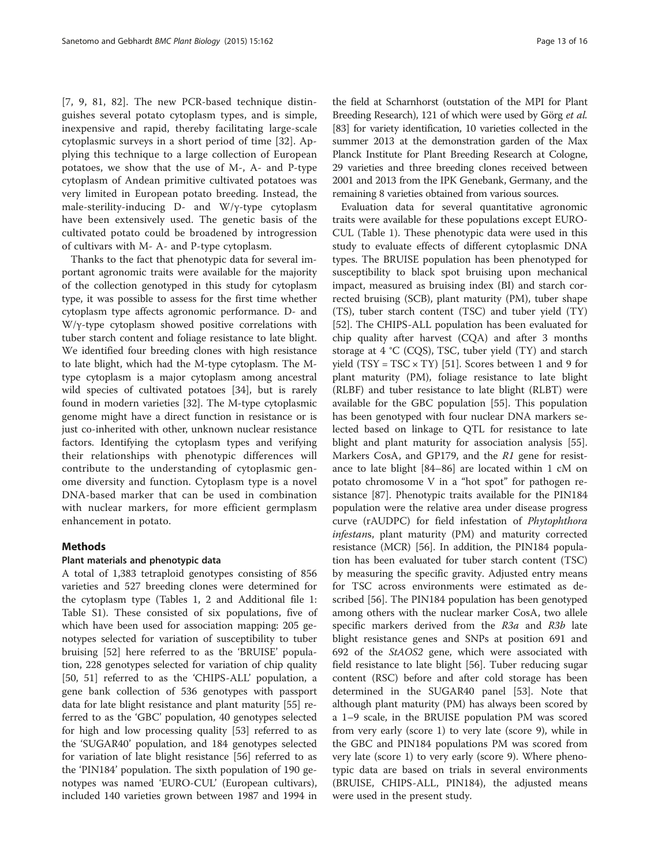[[7, 9](#page-14-0), [81, 82](#page-15-0)]. The new PCR-based technique distinguishes several potato cytoplasm types, and is simple, inexpensive and rapid, thereby facilitating large-scale cytoplasmic surveys in a short period of time [[32\]](#page-14-0). Applying this technique to a large collection of European potatoes, we show that the use of M-, A- and P-type cytoplasm of Andean primitive cultivated potatoes was very limited in European potato breeding. Instead, the male-sterility-inducing D- and W/γ-type cytoplasm have been extensively used. The genetic basis of the cultivated potato could be broadened by introgression of cultivars with M- A- and P-type cytoplasm.

Thanks to the fact that phenotypic data for several important agronomic traits were available for the majority of the collection genotyped in this study for cytoplasm type, it was possible to assess for the first time whether cytoplasm type affects agronomic performance. D- and W/γ-type cytoplasm showed positive correlations with tuber starch content and foliage resistance to late blight. We identified four breeding clones with high resistance to late blight, which had the M-type cytoplasm. The Mtype cytoplasm is a major cytoplasm among ancestral wild species of cultivated potatoes [[34](#page-14-0)], but is rarely found in modern varieties [[32\]](#page-14-0). The M-type cytoplasmic genome might have a direct function in resistance or is just co-inherited with other, unknown nuclear resistance factors. Identifying the cytoplasm types and verifying their relationships with phenotypic differences will contribute to the understanding of cytoplasmic genome diversity and function. Cytoplasm type is a novel DNA-based marker that can be used in combination with nuclear markers, for more efficient germplasm enhancement in potato.

# Methods

# Plant materials and phenotypic data

A total of 1,383 tetraploid genotypes consisting of 856 varieties and 527 breeding clones were determined for the cytoplasm type (Tables [1,](#page-2-0) [2](#page-3-0) and Additional file [1](#page-13-0): Table S1). These consisted of six populations, five of which have been used for association mapping: 205 genotypes selected for variation of susceptibility to tuber bruising [[52](#page-15-0)] here referred to as the 'BRUISE' population, 228 genotypes selected for variation of chip quality [[50, 51\]](#page-15-0) referred to as the 'CHIPS-ALL' population, a gene bank collection of 536 genotypes with passport data for late blight resistance and plant maturity [[55\]](#page-15-0) referred to as the 'GBC' population, 40 genotypes selected for high and low processing quality [[53](#page-15-0)] referred to as the 'SUGAR40' population, and 184 genotypes selected for variation of late blight resistance [[56\]](#page-15-0) referred to as the 'PIN184' population. The sixth population of 190 genotypes was named 'EURO-CUL' (European cultivars), included 140 varieties grown between 1987 and 1994 in the field at Scharnhorst (outstation of the MPI for Plant Breeding Research), 121 of which were used by Görg et al. [[83](#page-15-0)] for variety identification, 10 varieties collected in the summer 2013 at the demonstration garden of the Max Planck Institute for Plant Breeding Research at Cologne, 29 varieties and three breeding clones received between 2001 and 2013 from the IPK Genebank, Germany, and the remaining 8 varieties obtained from various sources.

Evaluation data for several quantitative agronomic traits were available for these populations except EURO-CUL (Table [1](#page-2-0)). These phenotypic data were used in this study to evaluate effects of different cytoplasmic DNA types. The BRUISE population has been phenotyped for susceptibility to black spot bruising upon mechanical impact, measured as bruising index (BI) and starch corrected bruising (SCB), plant maturity (PM), tuber shape (TS), tuber starch content (TSC) and tuber yield (TY) [[52\]](#page-15-0). The CHIPS-ALL population has been evaluated for chip quality after harvest (CQA) and after 3 months storage at 4 °C (CQS), TSC, tuber yield (TY) and starch yield  $(TSY = TSC \times TY)$  [[51\]](#page-15-0). Scores between 1 and 9 for plant maturity (PM), foliage resistance to late blight (RLBF) and tuber resistance to late blight (RLBT) were available for the GBC population [[55\]](#page-15-0). This population has been genotyped with four nuclear DNA markers selected based on linkage to QTL for resistance to late blight and plant maturity for association analysis [\[55](#page-15-0)]. Markers CosA, and GP179, and the R1 gene for resistance to late blight [[84](#page-15-0)–[86\]](#page-15-0) are located within 1 cM on potato chromosome V in a "hot spot" for pathogen resistance [[87](#page-15-0)]. Phenotypic traits available for the PIN184 population were the relative area under disease progress curve (rAUDPC) for field infestation of Phytophthora infestans, plant maturity (PM) and maturity corrected resistance (MCR) [[56\]](#page-15-0). In addition, the PIN184 population has been evaluated for tuber starch content (TSC) by measuring the specific gravity. Adjusted entry means for TSC across environments were estimated as described [[56\]](#page-15-0). The PIN184 population has been genotyped among others with the nuclear marker CosA, two allele specific markers derived from the R3a and R3b late blight resistance genes and SNPs at position 691 and 692 of the StAOS2 gene, which were associated with field resistance to late blight [[56\]](#page-15-0). Tuber reducing sugar content (RSC) before and after cold storage has been determined in the SUGAR40 panel [[53](#page-15-0)]. Note that although plant maturity (PM) has always been scored by a 1–9 scale, in the BRUISE population PM was scored from very early (score 1) to very late (score 9), while in the GBC and PIN184 populations PM was scored from very late (score 1) to very early (score 9). Where phenotypic data are based on trials in several environments (BRUISE, CHIPS-ALL, PIN184), the adjusted means were used in the present study.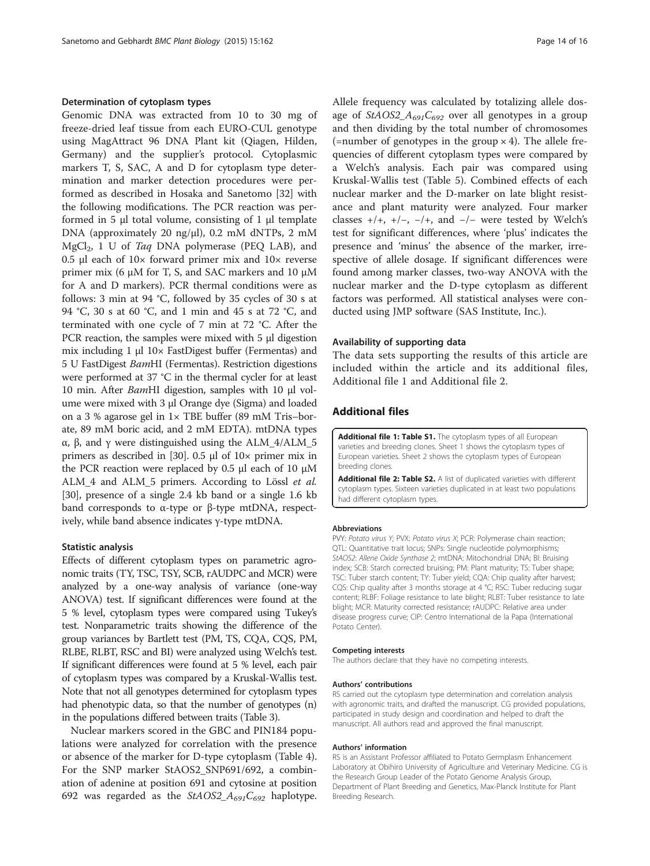#### <span id="page-13-0"></span>Determination of cytoplasm types

Genomic DNA was extracted from 10 to 30 mg of freeze-dried leaf tissue from each EURO-CUL genotype using MagAttract 96 DNA Plant kit (Qiagen, Hilden, Germany) and the supplier's protocol. Cytoplasmic markers T, S, SAC, A and D for cytoplasm type determination and marker detection procedures were performed as described in Hosaka and Sanetomo [\[32\]](#page-14-0) with the following modifications. The PCR reaction was performed in 5 μl total volume, consisting of 1 μl template DNA (approximately 20 ng/μl), 0.2 mM dNTPs, 2 mM MgCl<sub>2</sub>, 1 U of Taq DNA polymerase (PEQ LAB), and 0.5 μl each of  $10\times$  forward primer mix and  $10\times$  reverse primer mix (6 μM for T, S, and SAC markers and 10 μM for A and D markers). PCR thermal conditions were as follows: 3 min at 94 °C, followed by 35 cycles of 30 s at 94 °C, 30 s at 60 °C, and 1 min and 45 s at 72 °C, and terminated with one cycle of 7 min at 72 °C. After the PCR reaction, the samples were mixed with 5 μl digestion mix including 1 μl 10× FastDigest buffer (Fermentas) and 5 U FastDigest BamHI (Fermentas). Restriction digestions were performed at 37 °C in the thermal cycler for at least 10 min. After BamHI digestion, samples with 10 μl volume were mixed with 3 μl Orange dye (Sigma) and loaded on a 3 % agarose gel in 1× TBE buffer (89 mM Tris–borate, 89 mM boric acid, and 2 mM EDTA). mtDNA types α, β, and γ were distinguished using the ALM\_4/ALM\_5 primers as described in [\[30](#page-14-0)]. 0.5 μl of 10× primer mix in the PCR reaction were replaced by 0.5 μl each of 10  $μ$ M ALM\_4 and ALM\_5 primers. According to Lössl et al. [[30](#page-14-0)], presence of a single 2.4 kb band or a single 1.6 kb band corresponds to α-type or β-type mtDNA, respectively, while band absence indicates γ-type mtDNA.

#### Statistic analysis

Effects of different cytoplasm types on parametric agronomic traits (TY, TSC, TSY, SCB, rAUDPC and MCR) were analyzed by a one-way analysis of variance (one-way ANOVA) test. If significant differences were found at the 5 % level, cytoplasm types were compared using Tukey's test. Nonparametric traits showing the difference of the group variances by Bartlett test (PM, TS, CQA, CQS, PM, RLBE, RLBT, RSC and BI) were analyzed using Welch's test. If significant differences were found at 5 % level, each pair of cytoplasm types was compared by a Kruskal-Wallis test. Note that not all genotypes determined for cytoplasm types had phenotypic data, so that the number of genotypes (n) in the populations differed between traits (Table [3\)](#page-4-0).

Nuclear markers scored in the GBC and PIN184 populations were analyzed for correlation with the presence or absence of the marker for D-type cytoplasm (Table [4](#page-6-0)). For the SNP marker StAOS2\_SNP691/692, a combination of adenine at position 691 and cytosine at position 692 was regarded as the  $StAOS2\_A_{691}C_{692}$  haplotype. Allele frequency was calculated by totalizing allele dosage of  $StAOS2_A_{691}C_{692}$  over all genotypes in a group and then dividing by the total number of chromosomes (=number of genotypes in the group  $\times$  4). The allele frequencies of different cytoplasm types were compared by a Welch's analysis. Each pair was compared using Kruskal-Wallis test (Table [5](#page-7-0)). Combined effects of each nuclear marker and the D-marker on late blight resistance and plant maturity were analyzed. Four marker classes +/+, +/-, -/+, and -/- were tested by Welch's test for significant differences, where 'plus' indicates the presence and 'minus' the absence of the marker, irrespective of allele dosage. If significant differences were found among marker classes, two-way ANOVA with the nuclear marker and the D-type cytoplasm as different factors was performed. All statistical analyses were conducted using JMP software (SAS Institute, Inc.).

#### Availability of supporting data

The data sets supporting the results of this article are included within the article and its additional files, Additional file 1 and Additional file 2.

# Additional files

[Additional file 1: Table S1.](http://www.biomedcentral.com/content/supplementary/s12870-015-0545-y-s1.xlsx) The cytoplasm types of all European varieties and breeding clones. Sheet 1 shows the cytoplasm types of European varieties. Sheet 2 shows the cytoplasm types of European breeding clones.

[Additional file 2: Table S2.](http://www.biomedcentral.com/content/supplementary/s12870-015-0545-y-s2.docx) A list of duplicated varieties with different cytoplasm types. Sixteen varieties duplicated in at least two populations had different cytoplasm types.

#### Abbreviations

PVY: Potato virus Y; PVX: Potato virus X; PCR: Polymerase chain reaction; QTL: Quantitative trait locus; SNPs: Single nucleotide polymorphisms; StAOS2: Allene Oxide Synthase 2; mtDNA: Mitochondrial DNA; BI: Bruising index; SCB: Starch corrected bruising; PM: Plant maturity; TS: Tuber shape; TSC: Tuber starch content; TY: Tuber yield; CQA: Chip quality after harvest; CQS: Chip quality after 3 months storage at 4 °C; RSC: Tuber reducing sugar content; RLBF: Foliage resistance to late blight; RLBT: Tuber resistance to late blight; MCR: Maturity corrected resistance; rAUDPC: Relative area under disease progress curve; CIP: Centro International de la Papa (International Potato Center).

#### Competing interests

The authors declare that they have no competing interests.

#### Authors' contributions

RS carried out the cytoplasm type determination and correlation analysis with agronomic traits, and drafted the manuscript. CG provided populations, participated in study design and coordination and helped to draft the manuscript. All authors read and approved the final manuscript.

#### Authors' information

RS is an Assistant Professor affiliated to Potato Germplasm Enhancement Laboratory at Obihiro University of Agriculture and Veterinary Medicine. CG is the Research Group Leader of the Potato Genome Analysis Group, Department of Plant Breeding and Genetics, Max-Planck Institute for Plant Breeding Research.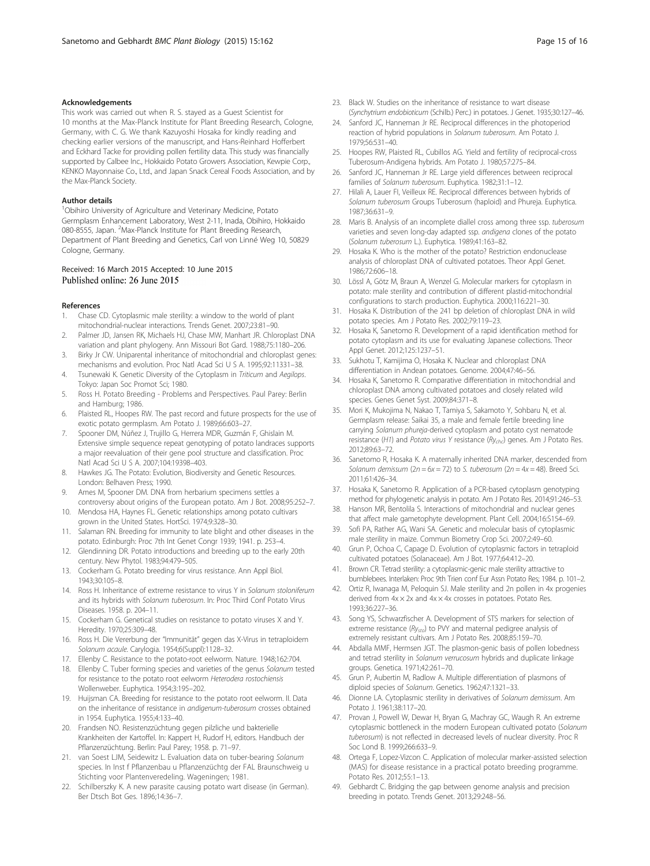#### <span id="page-14-0"></span>Acknowledgements

This work was carried out when R. S. stayed as a Guest Scientist for 10 months at the Max-Planck Institute for Plant Breeding Research, Cologne, Germany, with C. G. We thank Kazuyoshi Hosaka for kindly reading and checking earlier versions of the manuscript, and Hans-Reinhard Hofferbert and Eckhard Tacke for providing pollen fertility data. This study was financially supported by Calbee Inc., Hokkaido Potato Growers Association, Kewpie Corp., KENKO Mayonnaise Co., Ltd., and Japan Snack Cereal Foods Association, and by the Max-Planck Society.

#### Author details

<sup>1</sup>Obihiro University of Agriculture and Veterinary Medicine, Potato Germplasm Enhancement Laboratory, West 2-11, Inada, Obihiro, Hokkaido 080-8555, Japan. <sup>2</sup>Max-Planck Institute for Plant Breeding Research, Department of Plant Breeding and Genetics, Carl von Linné Weg 10, 50829 Cologne, Germany.

#### Received: 16 March 2015 Accepted: 10 June 2015 Published online: 26 June 2015

#### References

- 1. Chase CD. Cytoplasmic male sterility: a window to the world of plant mitochondrial-nuclear interactions. Trends Genet. 2007;23:81–90.
- 2. Palmer JD, Jansen RK, Michaels HJ, Chase MW, Manhart JR. Chloroplast DNA variation and plant phylogeny. Ann Missouri Bot Gard. 1988;75:1180–206.
- 3. Birky Jr CW. Uniparental inheritance of mitochondrial and chloroplast genes: mechanisms and evolution. Proc Natl Acad Sci U S A. 1995;92:11331–38.
- 4. Tsunewaki K. Genetic Diversity of the Cytoplasm in Triticum and Aegilops. Tokyo: Japan Soc Promot Sci; 1980.
- 5. Ross H. Potato Breeding Problems and Perspectives. Paul Parey: Berlin and Hamburg; 1986.
- 6. Plaisted RL, Hoopes RW. The past record and future prospects for the use of exotic potato germplasm. Am Potato J. 1989;66:603–27.
- 7. Spooner DM, Núñez J, Trujillo G, Herrera MDR, Guzmán F, Ghislain M. Extensive simple sequence repeat genotyping of potato landraces supports a major reevaluation of their gene pool structure and classification. Proc Natl Acad Sci U S A. 2007;104:19398–403.
- 8. Hawkes JG. The Potato: Evolution, Biodiversity and Genetic Resources. London: Belhaven Press; 1990.
- 9. Ames M, Spooner DM. DNA from herbarium specimens settles a
- controversy about origins of the European potato. Am J Bot. 2008;95:252–7. 10. Mendosa HA, Haynes FL. Genetic relationships among potato cultivars grown in the United States. HortSci. 1974;9:328–30.
- 11. Salaman RN. Breeding for immunity to late blight and other diseases in the potato. Edinburgh: Proc 7th Int Genet Congr 1939; 1941. p. 253–4.
- 12. Glendinning DR. Potato introductions and breeding up to the early 20th century. New Phytol. 1983;94:479–505.
- 13. Cockerham G. Potato breeding for virus resistance. Ann Appl Biol. 1943;30:105–8.
- 14. Ross H. Inheritance of extreme resistance to virus Y in Solanum stoloniferum and its hybrids with Solanum tuberosum. In: Proc Third Conf Potato Virus Diseases. 1958. p. 204–11.
- 15. Cockerham G. Genetical studies on resistance to potato viruses X and Y. Heredity. 1970;25:309–48.
- 16. Ross H. Die Vererbung der "Immunität" gegen das X-Virus in tetraploidem Solanum acaule. Carylogia. 1954;6(Suppl):1128–32.
- 17. Ellenby C. Resistance to the potato-root eelworm. Nature. 1948;162:704.
- Ellenby C. Tuber forming species and varieties of the genus Solanum tested for resistance to the potato root eelworm Heterodera rostochiensis Wollenweber. Euphytica. 1954;3:195–202.
- 19. Huijsman CA. Breeding for resistance to the potato root eelworm. II. Data on the inheritance of resistance in andigenum-tuberosum crosses obtained in 1954. Euphytica. 1955;4:133–40.
- 20. Frandsen NO. Resistenzzüchtung gegen pilzliche und bakterielle Krankheiten der Kartoffel. In: Kappert H, Rudorf H, editors. Handbuch der Pflanzenzüchtung. Berlin: Paul Parey; 1958. p. 71–97.
- 21. van Soest LJM, Seidewitz L. Evaluation data on tuber-bearing Solanum species. In Inst f Pflanzenbau u Pflanzenzüchtg der FAL Braunschweig u Stichting voor Plantenveredeling. Wageningen; 1981.
- 22. Schilberszky K. A new parasite causing potato wart disease (in German). Ber Dtsch Bot Ges. 1896;14:36–7.
- 23. Black W. Studies on the inheritance of resistance to wart disease (Synchytrium endobioticum (Schilb.) Perc.) in potatoes. J Genet. 1935;30:127–46.
- 24. Sanford JC, Hanneman Jr RE. Reciprocal differences in the photoperiod reaction of hybrid populations in Solanum tuberosum. Am Potato J. 1979;56:531–40.
- 25. Hoopes RW, Plaisted RL, Cubillos AG. Yield and fertility of reciprocal-cross Tuberosum-Andigena hybrids. Am Potato J. 1980;57:275–84.
- 26. Sanford JC, Hanneman Jr RE. Large yield differences between reciprocal families of Solanum tuberosum. Euphytica. 1982;31:1–12.
- 27. Hilali A, Lauer FI, Veilleux RE. Reciprocal differences between hybrids of Solanum tuberosum Groups Tuberosum (haploid) and Phureja. Euphytica. 1987;36:631–9.
- 28. Maris B. Analysis of an incomplete diallel cross among three ssp. tuberosum varieties and seven long-day adapted ssp. andigena clones of the potato (Solanum tuberosum L.). Euphytica. 1989;41:163–82.
- 29. Hosaka K. Who is the mother of the potato? Restriction endonuclease analysis of chloroplast DNA of cultivated potatoes. Theor Appl Genet. 1986;72:606–18.
- 30. Lössl A, Götz M, Braun A, Wenzel G. Molecular markers for cytoplasm in potato: male sterility and contribution of different plastid-mitochondrial configurations to starch production. Euphytica. 2000;116:221–30.
- 31. Hosaka K. Distribution of the 241 bp deletion of chloroplast DNA in wild potato species. Am J Potato Res. 2002;79:119–23.
- 32. Hosaka K, Sanetomo R. Development of a rapid identification method for potato cytoplasm and its use for evaluating Japanese collections. Theor Appl Genet. 2012;125:1237–51.
- 33. Sukhotu T, Kamijima O, Hosaka K. Nuclear and chloroplast DNA differentiation in Andean potatoes. Genome. 2004;47:46–56.
- 34. Hosaka K, Sanetomo R. Comparative differentiation in mitochondrial and chloroplast DNA among cultivated potatoes and closely related wild species. Genes Genet Syst. 2009;84:371–8.
- 35. Mori K, Mukojima N, Nakao T, Tamiya S, Sakamoto Y, Sohbaru N, et al. Germplasm release: Saikai 35, a male and female fertile breeding line carrying Solanum phureja-derived cytoplasm and potato cyst nematode resistance (H1) and Potato virus Y resistance (Rychc) genes. Am J Potato Res. 2012;89:63–72.
- 36. Sanetomo R, Hosaka K. A maternally inherited DNA marker, descended from Solanum demissum ( $2n = 6x = 72$ ) to S. tuberosum ( $2n = 4x = 48$ ). Breed Sci. 2011;61:426–34.
- 37. Hosaka K, Sanetomo R. Application of a PCR-based cytoplasm genotyping method for phylogenetic analysis in potato. Am J Potato Res. 2014;91:246–53.
- 38. Hanson MR, Bentolila S. Interactions of mitochondrial and nuclear genes that affect male gametophyte development. Plant Cell. 2004;16:S154–69.
- 39. Sofi PA, Rather AG, Wani SA. Genetic and molecular basis of cytoplasmic male sterility in maize. Commun Biometry Crop Sci. 2007;2:49–60.
- 40. Grun P, Ochoa C, Capage D. Evolution of cytoplasmic factors in tetraploid cultivated potatoes (Solanaceae). Am J Bot. 1977;64:412–20.
- 41. Brown CR. Tetrad sterility: a cytoplasmic-genic male sterility attractive to bumblebees. Interlaken: Proc 9th Trien conf Eur Assn Potato Res; 1984. p. 101–2.
- 42. Ortiz R, Iwanaga M, Peloquin SJ. Male sterility and 2n pollen in 4x progenies derived from  $4x \times 2x$  and  $4x \times 4x$  crosses in potatoes. Potato Res. 1993;36:227–36.
- 43. Song YS, Schwarzfischer A. Development of STS markers for selection of extreme resistance (Ry<sub>sto</sub>) to PVY and maternal pedigree analysis of extremely resistant cultivars. Am J Potato Res. 2008;85:159–70.
- 44. Abdalla MMF, Hermsen JGT. The plasmon-genic basis of pollen lobedness and tetrad sterility in Solanum verrucosum hybrids and duplicate linkage groups. Genetica. 1971;42:261–70.
- 45. Grun P, Aubertin M, Radlow A. Multiple differentiation of plasmons of diploid species of Solanum. Genetics. 1962;47:1321–33.
- Dionne LA. Cytoplasmic sterility in derivatives of Solanum demissum. Am Potato J. 1961;38:117–20.
- 47. Provan J, Powell W, Dewar H, Bryan G, Machray GC, Waugh R. An extreme cytoplasmic bottleneck in the modern European cultivated potato (Solanum tuberosum) is not reflected in decreased levels of nuclear diversity. Proc R Soc Lond B. 1999;266:633–9.
- 48. Ortega F, Lopez-Vizcon C. Application of molecular marker-assisted selection (MAS) for disease resistance in a practical potato breeding programme. Potato Res. 2012;55:1–13.
- 49. Gebhardt C. Bridging the gap between genome analysis and precision breeding in potato. Trends Genet. 2013;29:248–56.